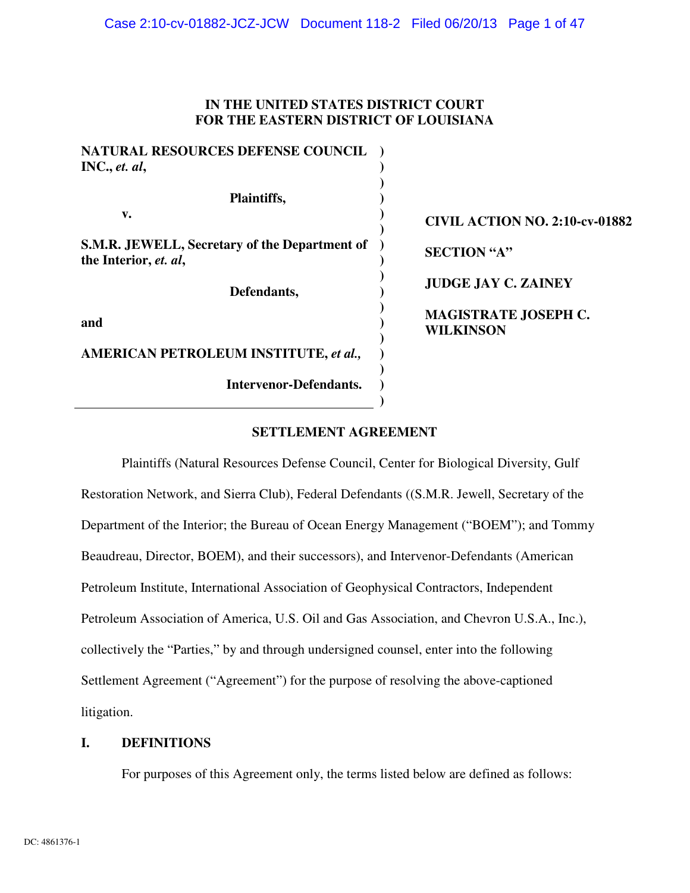# **IN THE UNITED STATES DISTRICT COURT FOR THE EASTERN DISTRICT OF LOUISIANA**

| <b>NATURAL RESOURCES DEFENSE COUNCIL</b><br>INC., et. al,              |                                                 |
|------------------------------------------------------------------------|-------------------------------------------------|
| Plaintiffs,                                                            |                                                 |
| $\mathbf{v}$ .                                                         | <b>CIVIL ACTION NO. 2:10-cv-01882</b>           |
| S.M.R. JEWELL, Secretary of the Department of<br>the Interior, et. al, | <b>SECTION</b> "A"                              |
| Defendants,                                                            | JUDGE JAY C. ZAINEY                             |
| and                                                                    | <b>MAGISTRATE JOSEPH C.</b><br><b>WILKINSON</b> |
| <b>AMERICAN PETROLEUM INSTITUTE, et al.,</b>                           |                                                 |
| <b>Intervenor-Defendants.</b>                                          |                                                 |

# **SETTLEMENT AGREEMENT**

Plaintiffs (Natural Resources Defense Council, Center for Biological Diversity, Gulf Restoration Network, and Sierra Club), Federal Defendants ((S.M.R. Jewell, Secretary of the Department of the Interior; the Bureau of Ocean Energy Management ("BOEM"); and Tommy Beaudreau, Director, BOEM), and their successors), and Intervenor-Defendants (American Petroleum Institute, International Association of Geophysical Contractors, Independent Petroleum Association of America, U.S. Oil and Gas Association, and Chevron U.S.A., Inc.), collectively the "Parties," by and through undersigned counsel, enter into the following Settlement Agreement ("Agreement") for the purpose of resolving the above-captioned litigation.

#### **I. DEFINITIONS**

For purposes of this Agreement only, the terms listed below are defined as follows: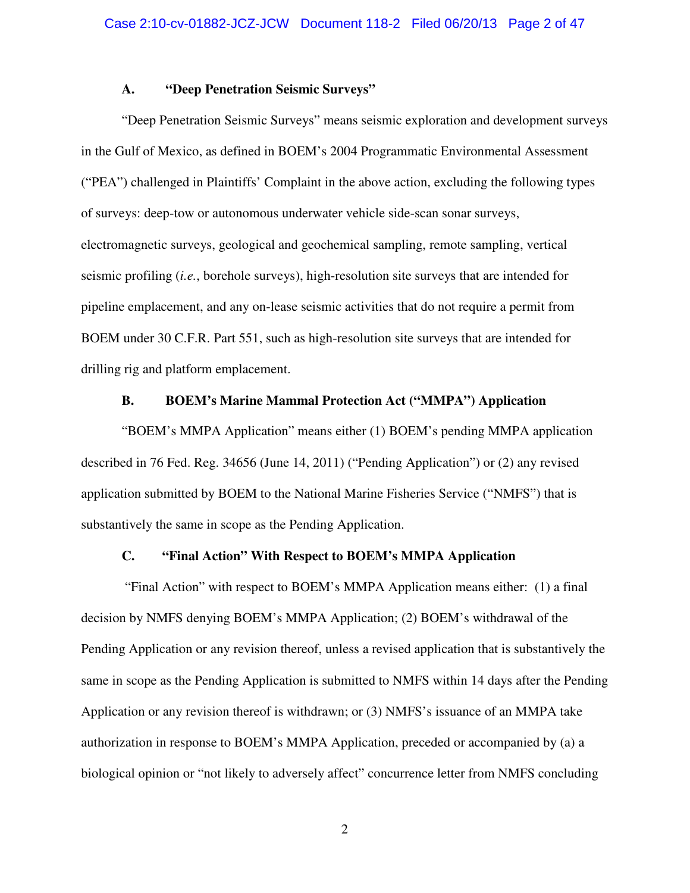#### **A. "Deep Penetration Seismic Surveys"**

"Deep Penetration Seismic Surveys" means seismic exploration and development surveys in the Gulf of Mexico, as defined in BOEM's 2004 Programmatic Environmental Assessment ("PEA") challenged in Plaintiffs' Complaint in the above action, excluding the following types of surveys: deep-tow or autonomous underwater vehicle side-scan sonar surveys, electromagnetic surveys, geological and geochemical sampling, remote sampling, vertical seismic profiling (*i.e.*, borehole surveys), high-resolution site surveys that are intended for pipeline emplacement, and any on-lease seismic activities that do not require a permit from BOEM under 30 C.F.R. Part 551, such as high-resolution site surveys that are intended for drilling rig and platform emplacement.

## **B. BOEM's Marine Mammal Protection Act ("MMPA") Application**

"BOEM's MMPA Application" means either (1) BOEM's pending MMPA application described in 76 Fed. Reg. 34656 (June 14, 2011) ("Pending Application") or (2) any revised application submitted by BOEM to the National Marine Fisheries Service ("NMFS") that is substantively the same in scope as the Pending Application.

#### **C. "Final Action" With Respect to BOEM's MMPA Application**

 "Final Action" with respect to BOEM's MMPA Application means either: (1) a final decision by NMFS denying BOEM's MMPA Application; (2) BOEM's withdrawal of the Pending Application or any revision thereof, unless a revised application that is substantively the same in scope as the Pending Application is submitted to NMFS within 14 days after the Pending Application or any revision thereof is withdrawn; or (3) NMFS's issuance of an MMPA take authorization in response to BOEM's MMPA Application, preceded or accompanied by (a) a biological opinion or "not likely to adversely affect" concurrence letter from NMFS concluding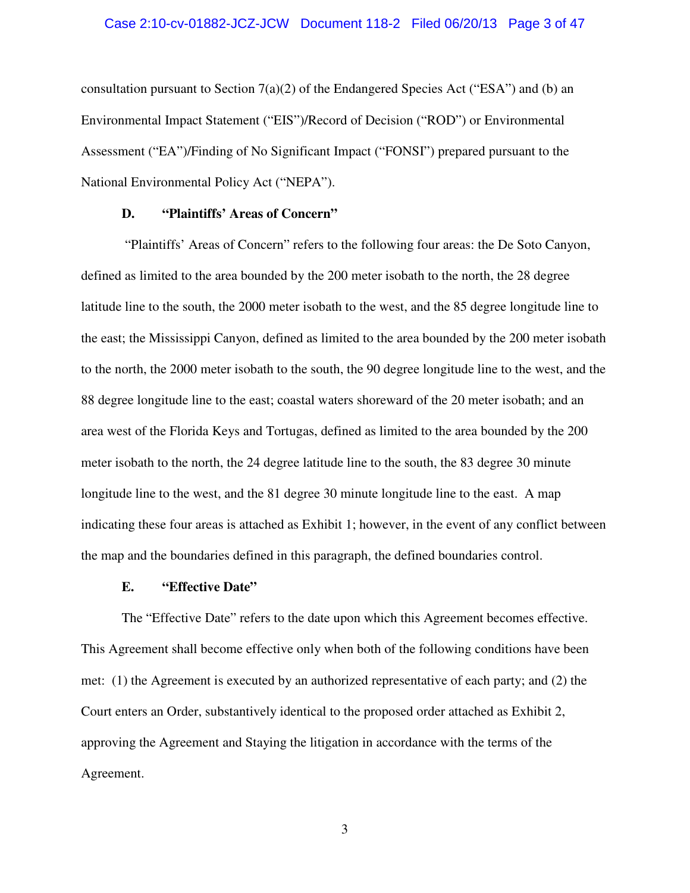#### Case 2:10-cv-01882-JCZ-JCW Document 118-2 Filed 06/20/13 Page 3 of 47

consultation pursuant to Section  $7(a)(2)$  of the Endangered Species Act ("ESA") and (b) an Environmental Impact Statement ("EIS")/Record of Decision ("ROD") or Environmental Assessment ("EA")/Finding of No Significant Impact ("FONSI") prepared pursuant to the National Environmental Policy Act ("NEPA").

# **D. "Plaintiffs' Areas of Concern"**

 "Plaintiffs' Areas of Concern" refers to the following four areas: the De Soto Canyon, defined as limited to the area bounded by the 200 meter isobath to the north, the 28 degree latitude line to the south, the 2000 meter isobath to the west, and the 85 degree longitude line to the east; the Mississippi Canyon, defined as limited to the area bounded by the 200 meter isobath to the north, the 2000 meter isobath to the south, the 90 degree longitude line to the west, and the 88 degree longitude line to the east; coastal waters shoreward of the 20 meter isobath; and an area west of the Florida Keys and Tortugas, defined as limited to the area bounded by the 200 meter isobath to the north, the 24 degree latitude line to the south, the 83 degree 30 minute longitude line to the west, and the 81 degree 30 minute longitude line to the east. A map indicating these four areas is attached as Exhibit 1; however, in the event of any conflict between the map and the boundaries defined in this paragraph, the defined boundaries control.

#### **E. "Effective Date"**

The "Effective Date" refers to the date upon which this Agreement becomes effective. This Agreement shall become effective only when both of the following conditions have been met: (1) the Agreement is executed by an authorized representative of each party; and (2) the Court enters an Order, substantively identical to the proposed order attached as Exhibit 2, approving the Agreement and Staying the litigation in accordance with the terms of the Agreement.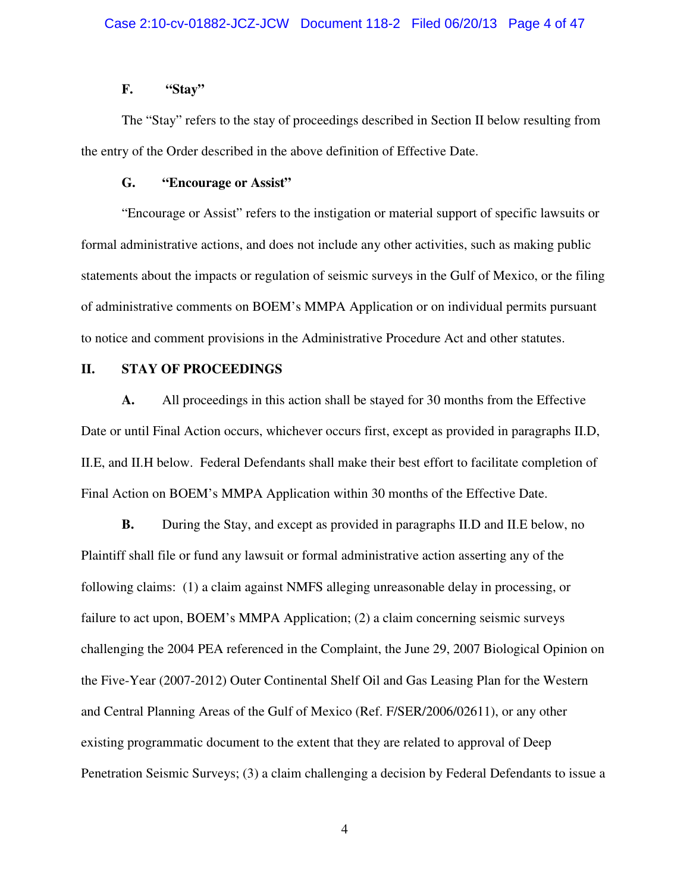## **F. "Stay"**

The "Stay" refers to the stay of proceedings described in Section II below resulting from the entry of the Order described in the above definition of Effective Date.

## **G. "Encourage or Assist"**

"Encourage or Assist" refers to the instigation or material support of specific lawsuits or formal administrative actions, and does not include any other activities, such as making public statements about the impacts or regulation of seismic surveys in the Gulf of Mexico, or the filing of administrative comments on BOEM's MMPA Application or on individual permits pursuant to notice and comment provisions in the Administrative Procedure Act and other statutes.

#### **II. STAY OF PROCEEDINGS**

**A.** All proceedings in this action shall be stayed for 30 months from the Effective Date or until Final Action occurs, whichever occurs first, except as provided in paragraphs II.D, II.E, and II.H below. Federal Defendants shall make their best effort to facilitate completion of Final Action on BOEM's MMPA Application within 30 months of the Effective Date.

**B.** During the Stay, and except as provided in paragraphs II.D and II.E below, no Plaintiff shall file or fund any lawsuit or formal administrative action asserting any of the following claims: (1) a claim against NMFS alleging unreasonable delay in processing, or failure to act upon, BOEM's MMPA Application; (2) a claim concerning seismic surveys challenging the 2004 PEA referenced in the Complaint, the June 29, 2007 Biological Opinion on the Five-Year (2007-2012) Outer Continental Shelf Oil and Gas Leasing Plan for the Western and Central Planning Areas of the Gulf of Mexico (Ref. F/SER/2006/02611), or any other existing programmatic document to the extent that they are related to approval of Deep Penetration Seismic Surveys; (3) a claim challenging a decision by Federal Defendants to issue a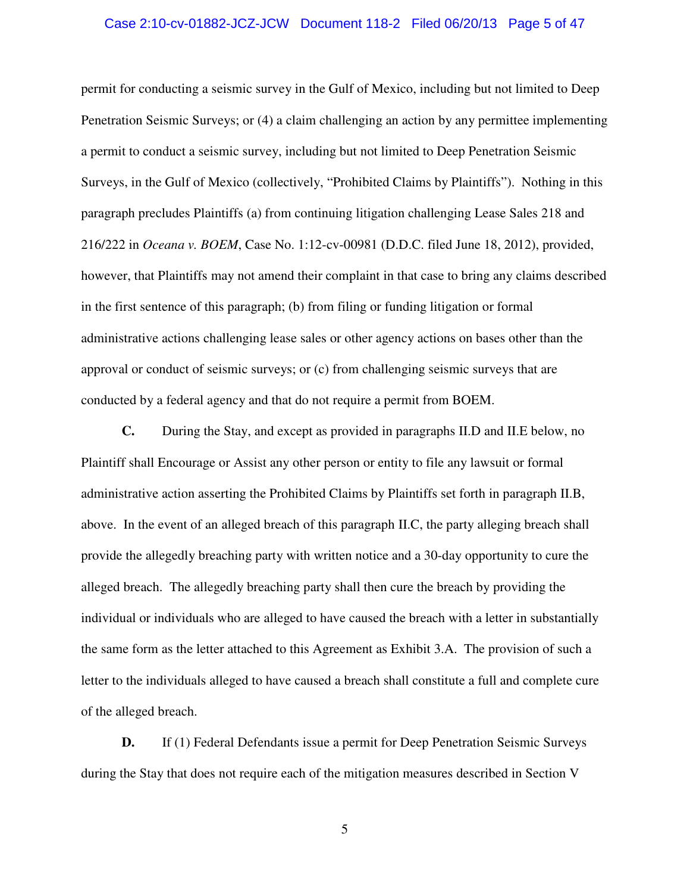#### Case 2:10-cv-01882-JCZ-JCW Document 118-2 Filed 06/20/13 Page 5 of 47

permit for conducting a seismic survey in the Gulf of Mexico, including but not limited to Deep Penetration Seismic Surveys; or (4) a claim challenging an action by any permittee implementing a permit to conduct a seismic survey, including but not limited to Deep Penetration Seismic Surveys, in the Gulf of Mexico (collectively, "Prohibited Claims by Plaintiffs"). Nothing in this paragraph precludes Plaintiffs (a) from continuing litigation challenging Lease Sales 218 and 216/222 in *Oceana v. BOEM*, Case No. 1:12-cv-00981 (D.D.C. filed June 18, 2012), provided, however, that Plaintiffs may not amend their complaint in that case to bring any claims described in the first sentence of this paragraph; (b) from filing or funding litigation or formal administrative actions challenging lease sales or other agency actions on bases other than the approval or conduct of seismic surveys; or (c) from challenging seismic surveys that are conducted by a federal agency and that do not require a permit from BOEM.

**C.** During the Stay, and except as provided in paragraphs II.D and II.E below, no Plaintiff shall Encourage or Assist any other person or entity to file any lawsuit or formal administrative action asserting the Prohibited Claims by Plaintiffs set forth in paragraph II.B, above. In the event of an alleged breach of this paragraph II.C, the party alleging breach shall provide the allegedly breaching party with written notice and a 30-day opportunity to cure the alleged breach. The allegedly breaching party shall then cure the breach by providing the individual or individuals who are alleged to have caused the breach with a letter in substantially the same form as the letter attached to this Agreement as Exhibit 3.A. The provision of such a letter to the individuals alleged to have caused a breach shall constitute a full and complete cure of the alleged breach.

**D.** If (1) Federal Defendants issue a permit for Deep Penetration Seismic Surveys during the Stay that does not require each of the mitigation measures described in Section V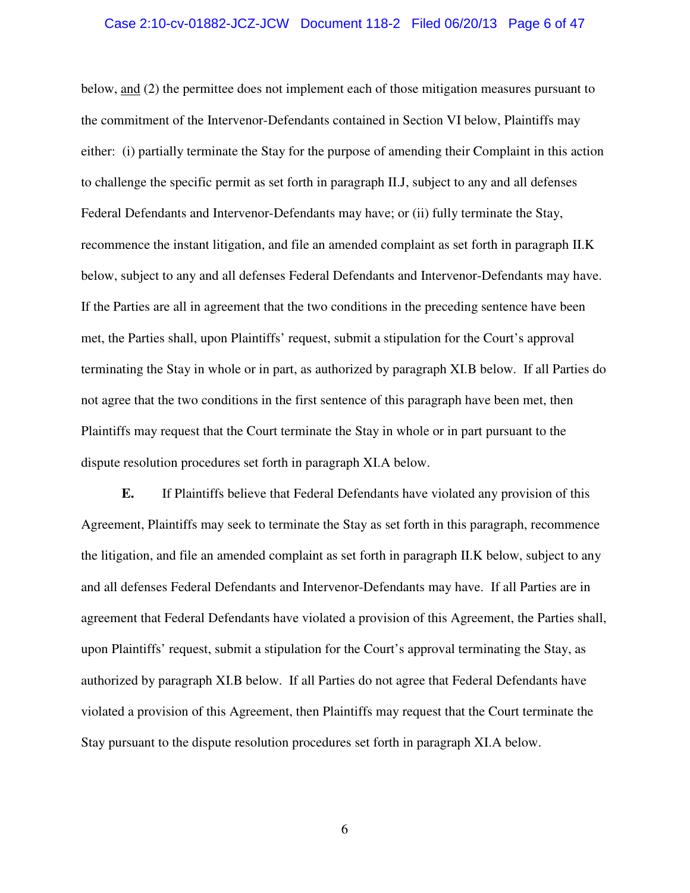#### Case 2:10-cv-01882-JCZ-JCW Document 118-2 Filed 06/20/13 Page 6 of 47

below, and (2) the permittee does not implement each of those mitigation measures pursuant to the commitment of the Intervenor-Defendants contained in Section VI below, Plaintiffs may either: (i) partially terminate the Stay for the purpose of amending their Complaint in this action to challenge the specific permit as set forth in paragraph II.J, subject to any and all defenses Federal Defendants and Intervenor-Defendants may have; or (ii) fully terminate the Stay, recommence the instant litigation, and file an amended complaint as set forth in paragraph II.K below, subject to any and all defenses Federal Defendants and Intervenor-Defendants may have. If the Parties are all in agreement that the two conditions in the preceding sentence have been met, the Parties shall, upon Plaintiffs' request, submit a stipulation for the Court's approval terminating the Stay in whole or in part, as authorized by paragraph XI.B below. If all Parties do not agree that the two conditions in the first sentence of this paragraph have been met, then Plaintiffs may request that the Court terminate the Stay in whole or in part pursuant to the dispute resolution procedures set forth in paragraph XI.A below.

**E.** If Plaintiffs believe that Federal Defendants have violated any provision of this Agreement, Plaintiffs may seek to terminate the Stay as set forth in this paragraph, recommence the litigation, and file an amended complaint as set forth in paragraph II.K below, subject to any and all defenses Federal Defendants and Intervenor-Defendants may have. If all Parties are in agreement that Federal Defendants have violated a provision of this Agreement, the Parties shall, upon Plaintiffs' request, submit a stipulation for the Court's approval terminating the Stay, as authorized by paragraph XI.B below. If all Parties do not agree that Federal Defendants have violated a provision of this Agreement, then Plaintiffs may request that the Court terminate the Stay pursuant to the dispute resolution procedures set forth in paragraph XI.A below.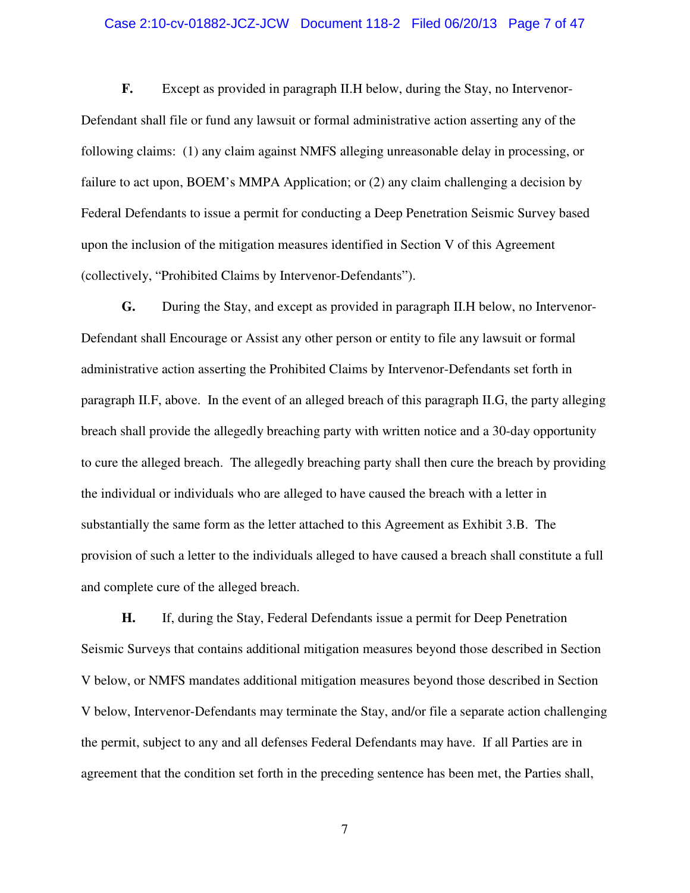#### Case 2:10-cv-01882-JCZ-JCW Document 118-2 Filed 06/20/13 Page 7 of 47

**F.** Except as provided in paragraph II.H below, during the Stay, no Intervenor-Defendant shall file or fund any lawsuit or formal administrative action asserting any of the following claims: (1) any claim against NMFS alleging unreasonable delay in processing, or failure to act upon, BOEM's MMPA Application; or (2) any claim challenging a decision by Federal Defendants to issue a permit for conducting a Deep Penetration Seismic Survey based upon the inclusion of the mitigation measures identified in Section V of this Agreement (collectively, "Prohibited Claims by Intervenor-Defendants").

**G.** During the Stay, and except as provided in paragraph II.H below, no Intervenor-Defendant shall Encourage or Assist any other person or entity to file any lawsuit or formal administrative action asserting the Prohibited Claims by Intervenor-Defendants set forth in paragraph II.F, above. In the event of an alleged breach of this paragraph II.G, the party alleging breach shall provide the allegedly breaching party with written notice and a 30-day opportunity to cure the alleged breach. The allegedly breaching party shall then cure the breach by providing the individual or individuals who are alleged to have caused the breach with a letter in substantially the same form as the letter attached to this Agreement as Exhibit 3.B. The provision of such a letter to the individuals alleged to have caused a breach shall constitute a full and complete cure of the alleged breach.

**H.** If, during the Stay, Federal Defendants issue a permit for Deep Penetration Seismic Surveys that contains additional mitigation measures beyond those described in Section V below, or NMFS mandates additional mitigation measures beyond those described in Section V below, Intervenor-Defendants may terminate the Stay, and/or file a separate action challenging the permit, subject to any and all defenses Federal Defendants may have. If all Parties are in agreement that the condition set forth in the preceding sentence has been met, the Parties shall,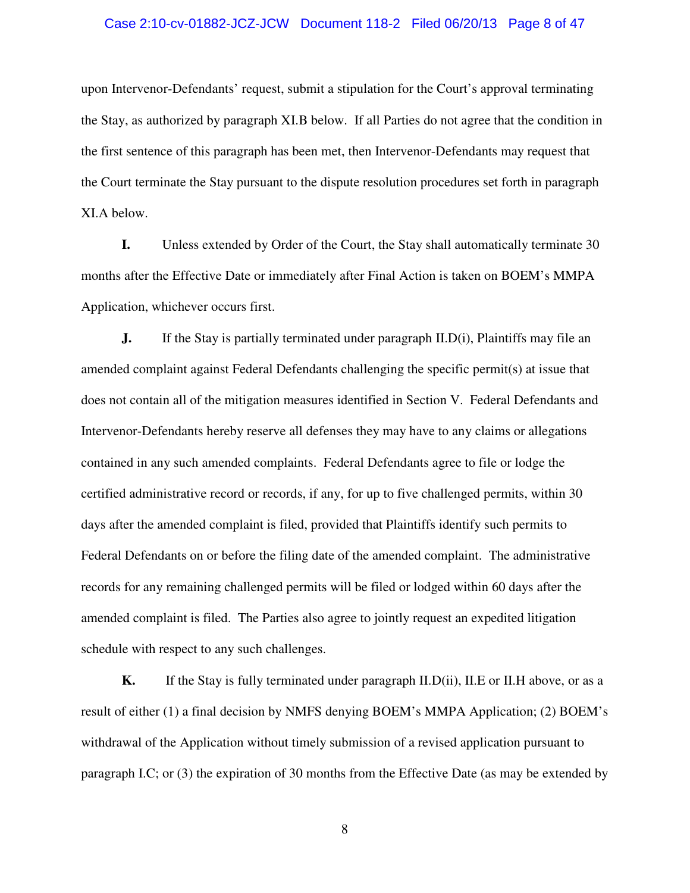#### Case 2:10-cv-01882-JCZ-JCW Document 118-2 Filed 06/20/13 Page 8 of 47

upon Intervenor-Defendants' request, submit a stipulation for the Court's approval terminating the Stay, as authorized by paragraph XI.B below. If all Parties do not agree that the condition in the first sentence of this paragraph has been met, then Intervenor-Defendants may request that the Court terminate the Stay pursuant to the dispute resolution procedures set forth in paragraph XI.A below.

**I.** Unless extended by Order of the Court, the Stay shall automatically terminate 30 months after the Effective Date or immediately after Final Action is taken on BOEM's MMPA Application, whichever occurs first.

**J.** If the Stay is partially terminated under paragraph II.D(i), Plaintiffs may file an amended complaint against Federal Defendants challenging the specific permit(s) at issue that does not contain all of the mitigation measures identified in Section V. Federal Defendants and Intervenor-Defendants hereby reserve all defenses they may have to any claims or allegations contained in any such amended complaints. Federal Defendants agree to file or lodge the certified administrative record or records, if any, for up to five challenged permits, within 30 days after the amended complaint is filed, provided that Plaintiffs identify such permits to Federal Defendants on or before the filing date of the amended complaint. The administrative records for any remaining challenged permits will be filed or lodged within 60 days after the amended complaint is filed. The Parties also agree to jointly request an expedited litigation schedule with respect to any such challenges.

**K.** If the Stay is fully terminated under paragraph II.D(ii), II.E or II.H above, or as a result of either (1) a final decision by NMFS denying BOEM's MMPA Application; (2) BOEM's withdrawal of the Application without timely submission of a revised application pursuant to paragraph I.C; or (3) the expiration of 30 months from the Effective Date (as may be extended by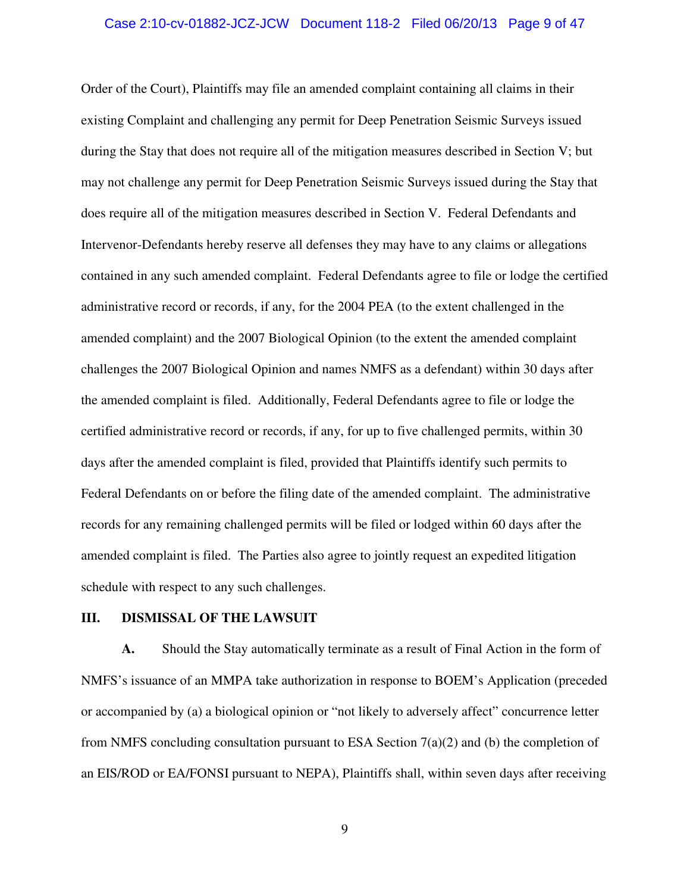#### Case 2:10-cv-01882-JCZ-JCW Document 118-2 Filed 06/20/13 Page 9 of 47

Order of the Court), Plaintiffs may file an amended complaint containing all claims in their existing Complaint and challenging any permit for Deep Penetration Seismic Surveys issued during the Stay that does not require all of the mitigation measures described in Section V; but may not challenge any permit for Deep Penetration Seismic Surveys issued during the Stay that does require all of the mitigation measures described in Section V. Federal Defendants and Intervenor-Defendants hereby reserve all defenses they may have to any claims or allegations contained in any such amended complaint. Federal Defendants agree to file or lodge the certified administrative record or records, if any, for the 2004 PEA (to the extent challenged in the amended complaint) and the 2007 Biological Opinion (to the extent the amended complaint challenges the 2007 Biological Opinion and names NMFS as a defendant) within 30 days after the amended complaint is filed. Additionally, Federal Defendants agree to file or lodge the certified administrative record or records, if any, for up to five challenged permits, within 30 days after the amended complaint is filed, provided that Plaintiffs identify such permits to Federal Defendants on or before the filing date of the amended complaint. The administrative records for any remaining challenged permits will be filed or lodged within 60 days after the amended complaint is filed. The Parties also agree to jointly request an expedited litigation schedule with respect to any such challenges.

#### **III. DISMISSAL OF THE LAWSUIT**

**A.** Should the Stay automatically terminate as a result of Final Action in the form of NMFS's issuance of an MMPA take authorization in response to BOEM's Application (preceded or accompanied by (a) a biological opinion or "not likely to adversely affect" concurrence letter from NMFS concluding consultation pursuant to ESA Section  $7(a)(2)$  and (b) the completion of an EIS/ROD or EA/FONSI pursuant to NEPA), Plaintiffs shall, within seven days after receiving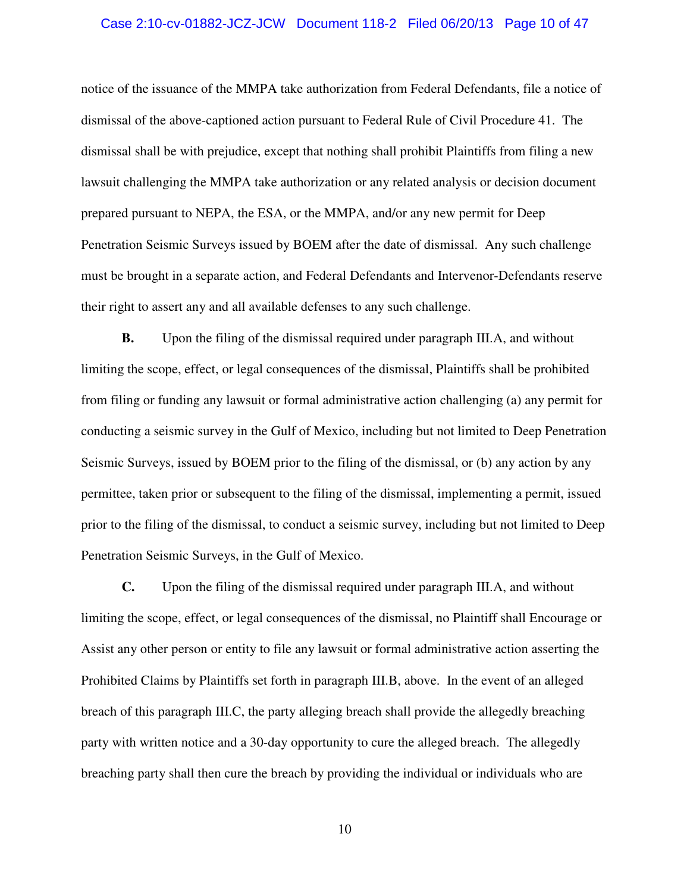#### Case 2:10-cv-01882-JCZ-JCW Document 118-2 Filed 06/20/13 Page 10 of 47

notice of the issuance of the MMPA take authorization from Federal Defendants, file a notice of dismissal of the above-captioned action pursuant to Federal Rule of Civil Procedure 41. The dismissal shall be with prejudice, except that nothing shall prohibit Plaintiffs from filing a new lawsuit challenging the MMPA take authorization or any related analysis or decision document prepared pursuant to NEPA, the ESA, or the MMPA, and/or any new permit for Deep Penetration Seismic Surveys issued by BOEM after the date of dismissal. Any such challenge must be brought in a separate action, and Federal Defendants and Intervenor-Defendants reserve their right to assert any and all available defenses to any such challenge.

**B.** Upon the filing of the dismissal required under paragraph III.A, and without limiting the scope, effect, or legal consequences of the dismissal, Plaintiffs shall be prohibited from filing or funding any lawsuit or formal administrative action challenging (a) any permit for conducting a seismic survey in the Gulf of Mexico, including but not limited to Deep Penetration Seismic Surveys, issued by BOEM prior to the filing of the dismissal, or (b) any action by any permittee, taken prior or subsequent to the filing of the dismissal, implementing a permit, issued prior to the filing of the dismissal, to conduct a seismic survey, including but not limited to Deep Penetration Seismic Surveys, in the Gulf of Mexico.

**C.** Upon the filing of the dismissal required under paragraph III.A, and without limiting the scope, effect, or legal consequences of the dismissal, no Plaintiff shall Encourage or Assist any other person or entity to file any lawsuit or formal administrative action asserting the Prohibited Claims by Plaintiffs set forth in paragraph III.B, above. In the event of an alleged breach of this paragraph III.C, the party alleging breach shall provide the allegedly breaching party with written notice and a 30-day opportunity to cure the alleged breach. The allegedly breaching party shall then cure the breach by providing the individual or individuals who are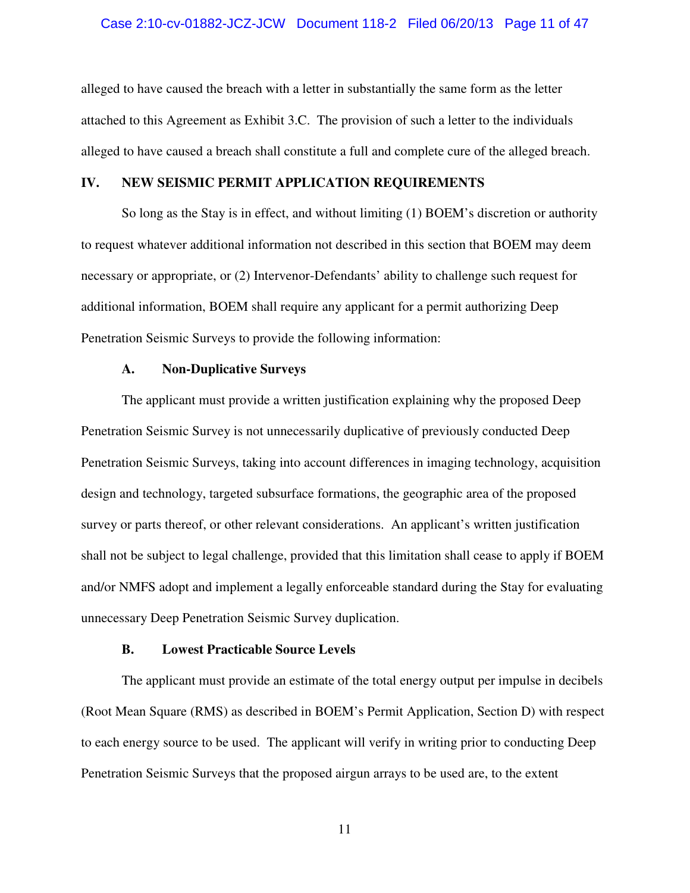#### Case 2:10-cv-01882-JCZ-JCW Document 118-2 Filed 06/20/13 Page 11 of 47

alleged to have caused the breach with a letter in substantially the same form as the letter attached to this Agreement as Exhibit 3.C. The provision of such a letter to the individuals alleged to have caused a breach shall constitute a full and complete cure of the alleged breach.

#### **IV. NEW SEISMIC PERMIT APPLICATION REQUIREMENTS**

So long as the Stay is in effect, and without limiting (1) BOEM's discretion or authority to request whatever additional information not described in this section that BOEM may deem necessary or appropriate, or (2) Intervenor-Defendants' ability to challenge such request for additional information, BOEM shall require any applicant for a permit authorizing Deep Penetration Seismic Surveys to provide the following information:

#### **A. Non-Duplicative Surveys**

The applicant must provide a written justification explaining why the proposed Deep Penetration Seismic Survey is not unnecessarily duplicative of previously conducted Deep Penetration Seismic Surveys, taking into account differences in imaging technology, acquisition design and technology, targeted subsurface formations, the geographic area of the proposed survey or parts thereof, or other relevant considerations. An applicant's written justification shall not be subject to legal challenge, provided that this limitation shall cease to apply if BOEM and/or NMFS adopt and implement a legally enforceable standard during the Stay for evaluating unnecessary Deep Penetration Seismic Survey duplication.

#### **B. Lowest Practicable Source Levels**

The applicant must provide an estimate of the total energy output per impulse in decibels (Root Mean Square (RMS) as described in BOEM's Permit Application, Section D) with respect to each energy source to be used. The applicant will verify in writing prior to conducting Deep Penetration Seismic Surveys that the proposed airgun arrays to be used are, to the extent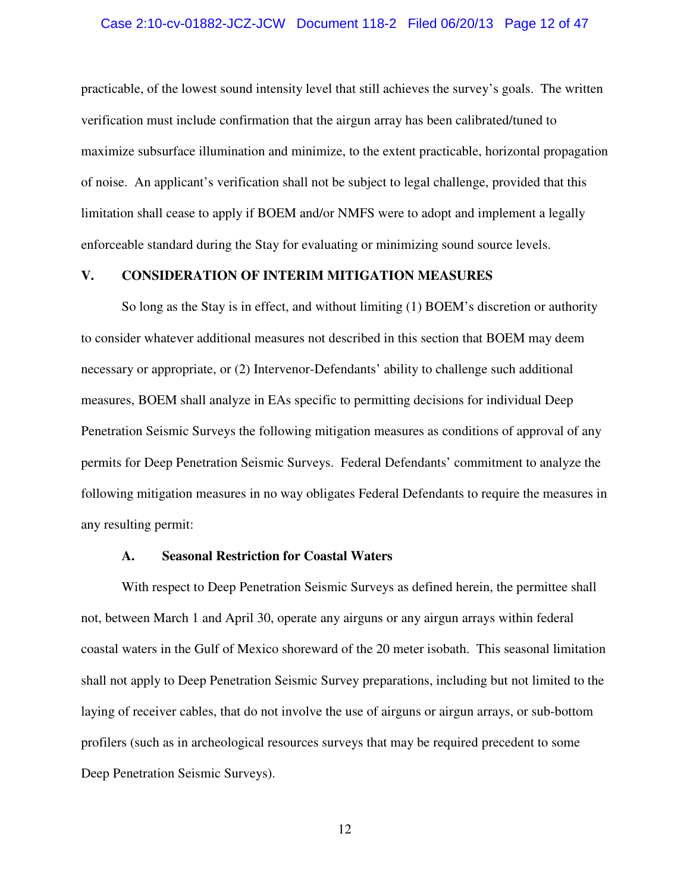#### Case 2:10-cv-01882-JCZ-JCW Document 118-2 Filed 06/20/13 Page 12 of 47

practicable, of the lowest sound intensity level that still achieves the survey's goals. The written verification must include confirmation that the airgun array has been calibrated/tuned to maximize subsurface illumination and minimize, to the extent practicable, horizontal propagation of noise. An applicant's verification shall not be subject to legal challenge, provided that this limitation shall cease to apply if BOEM and/or NMFS were to adopt and implement a legally enforceable standard during the Stay for evaluating or minimizing sound source levels.

# **V. CONSIDERATION OF INTERIM MITIGATION MEASURES**

So long as the Stay is in effect, and without limiting (1) BOEM's discretion or authority to consider whatever additional measures not described in this section that BOEM may deem necessary or appropriate, or (2) Intervenor-Defendants' ability to challenge such additional measures, BOEM shall analyze in EAs specific to permitting decisions for individual Deep Penetration Seismic Surveys the following mitigation measures as conditions of approval of any permits for Deep Penetration Seismic Surveys. Federal Defendants' commitment to analyze the following mitigation measures in no way obligates Federal Defendants to require the measures in any resulting permit:

#### **A. Seasonal Restriction for Coastal Waters**

With respect to Deep Penetration Seismic Surveys as defined herein, the permittee shall not, between March 1 and April 30, operate any airguns or any airgun arrays within federal coastal waters in the Gulf of Mexico shoreward of the 20 meter isobath. This seasonal limitation shall not apply to Deep Penetration Seismic Survey preparations, including but not limited to the laying of receiver cables, that do not involve the use of airguns or airgun arrays, or sub-bottom profilers (such as in archeological resources surveys that may be required precedent to some Deep Penetration Seismic Surveys).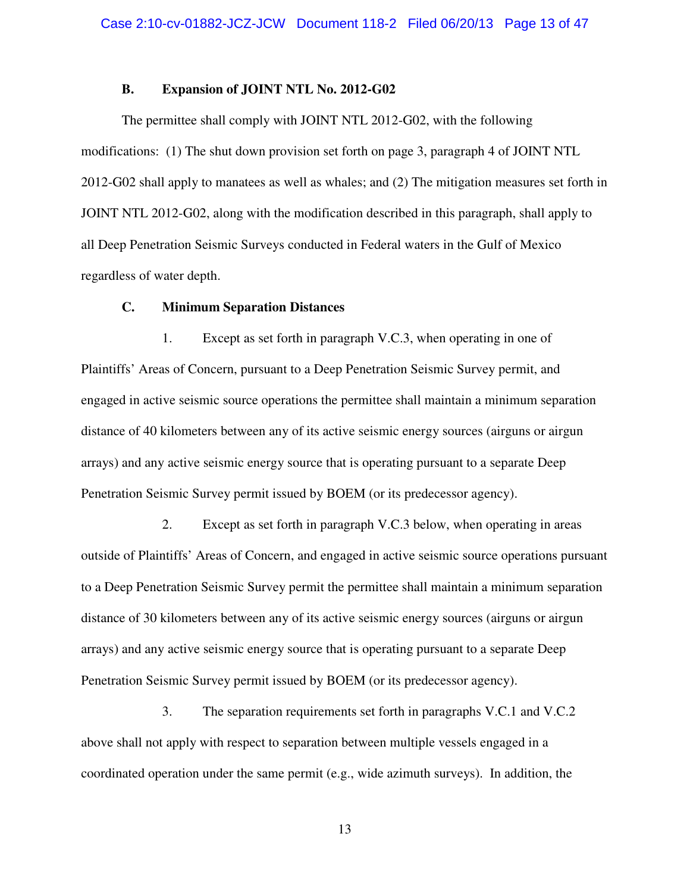## **B. Expansion of JOINT NTL No. 2012-G02**

The permittee shall comply with JOINT NTL 2012-G02, with the following modifications: (1) The shut down provision set forth on page 3, paragraph 4 of JOINT NTL 2012-G02 shall apply to manatees as well as whales; and (2) The mitigation measures set forth in JOINT NTL 2012-G02, along with the modification described in this paragraph, shall apply to all Deep Penetration Seismic Surveys conducted in Federal waters in the Gulf of Mexico regardless of water depth.

#### **C. Minimum Separation Distances**

1. Except as set forth in paragraph V.C.3, when operating in one of Plaintiffs' Areas of Concern, pursuant to a Deep Penetration Seismic Survey permit, and engaged in active seismic source operations the permittee shall maintain a minimum separation distance of 40 kilometers between any of its active seismic energy sources (airguns or airgun arrays) and any active seismic energy source that is operating pursuant to a separate Deep Penetration Seismic Survey permit issued by BOEM (or its predecessor agency).

2. Except as set forth in paragraph V.C.3 below, when operating in areas outside of Plaintiffs' Areas of Concern, and engaged in active seismic source operations pursuant to a Deep Penetration Seismic Survey permit the permittee shall maintain a minimum separation distance of 30 kilometers between any of its active seismic energy sources (airguns or airgun arrays) and any active seismic energy source that is operating pursuant to a separate Deep Penetration Seismic Survey permit issued by BOEM (or its predecessor agency).

3. The separation requirements set forth in paragraphs V.C.1 and V.C.2 above shall not apply with respect to separation between multiple vessels engaged in a coordinated operation under the same permit (e.g., wide azimuth surveys). In addition, the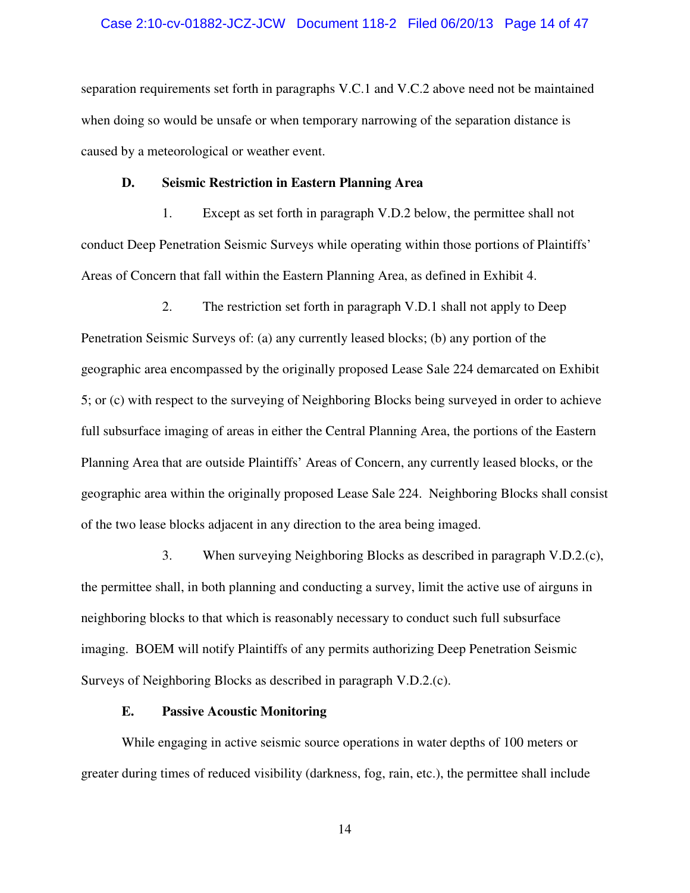#### Case 2:10-cv-01882-JCZ-JCW Document 118-2 Filed 06/20/13 Page 14 of 47

separation requirements set forth in paragraphs V.C.1 and V.C.2 above need not be maintained when doing so would be unsafe or when temporary narrowing of the separation distance is caused by a meteorological or weather event.

#### **D. Seismic Restriction in Eastern Planning Area**

1. Except as set forth in paragraph V.D.2 below, the permittee shall not conduct Deep Penetration Seismic Surveys while operating within those portions of Plaintiffs' Areas of Concern that fall within the Eastern Planning Area, as defined in Exhibit 4.

2. The restriction set forth in paragraph V.D.1 shall not apply to Deep Penetration Seismic Surveys of: (a) any currently leased blocks; (b) any portion of the geographic area encompassed by the originally proposed Lease Sale 224 demarcated on Exhibit 5; or (c) with respect to the surveying of Neighboring Blocks being surveyed in order to achieve full subsurface imaging of areas in either the Central Planning Area, the portions of the Eastern Planning Area that are outside Plaintiffs' Areas of Concern, any currently leased blocks, or the geographic area within the originally proposed Lease Sale 224. Neighboring Blocks shall consist of the two lease blocks adjacent in any direction to the area being imaged.

3. When surveying Neighboring Blocks as described in paragraph V.D.2.(c), the permittee shall, in both planning and conducting a survey, limit the active use of airguns in neighboring blocks to that which is reasonably necessary to conduct such full subsurface imaging. BOEM will notify Plaintiffs of any permits authorizing Deep Penetration Seismic Surveys of Neighboring Blocks as described in paragraph V.D.2.(c).

## **E. Passive Acoustic Monitoring**

While engaging in active seismic source operations in water depths of 100 meters or greater during times of reduced visibility (darkness, fog, rain, etc.), the permittee shall include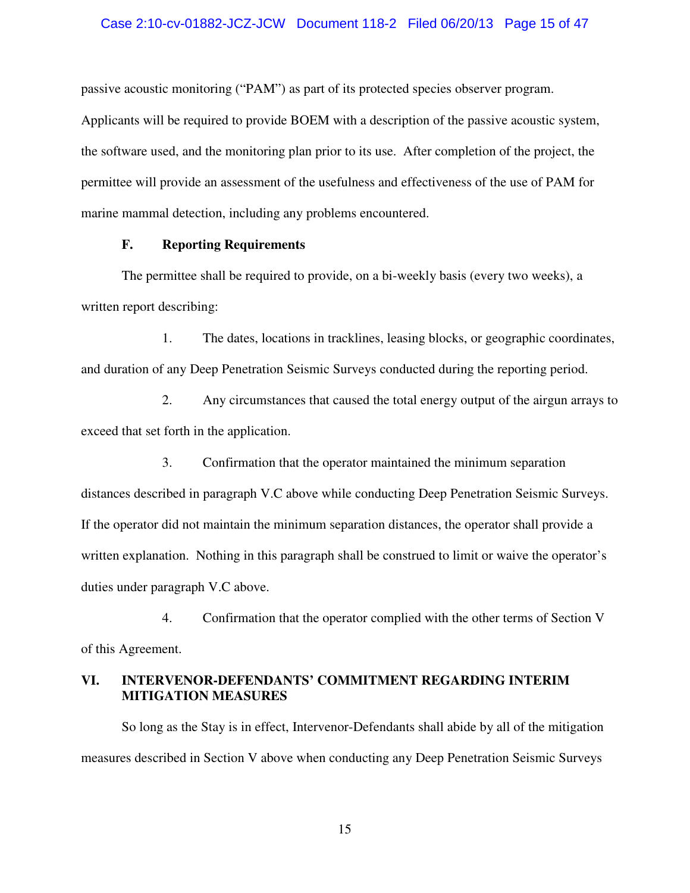passive acoustic monitoring ("PAM") as part of its protected species observer program. Applicants will be required to provide BOEM with a description of the passive acoustic system, the software used, and the monitoring plan prior to its use. After completion of the project, the permittee will provide an assessment of the usefulness and effectiveness of the use of PAM for marine mammal detection, including any problems encountered.

# **F. Reporting Requirements**

The permittee shall be required to provide, on a bi-weekly basis (every two weeks), a written report describing:

1. The dates, locations in tracklines, leasing blocks, or geographic coordinates, and duration of any Deep Penetration Seismic Surveys conducted during the reporting period.

2. Any circumstances that caused the total energy output of the airgun arrays to exceed that set forth in the application.

3. Confirmation that the operator maintained the minimum separation distances described in paragraph V.C above while conducting Deep Penetration Seismic Surveys. If the operator did not maintain the minimum separation distances, the operator shall provide a written explanation. Nothing in this paragraph shall be construed to limit or waive the operator's duties under paragraph V.C above.

4. Confirmation that the operator complied with the other terms of Section V of this Agreement.

#### **VI. INTERVENOR-DEFENDANTS' COMMITMENT REGARDING INTERIM MITIGATION MEASURES**

 So long as the Stay is in effect, Intervenor-Defendants shall abide by all of the mitigation measures described in Section V above when conducting any Deep Penetration Seismic Surveys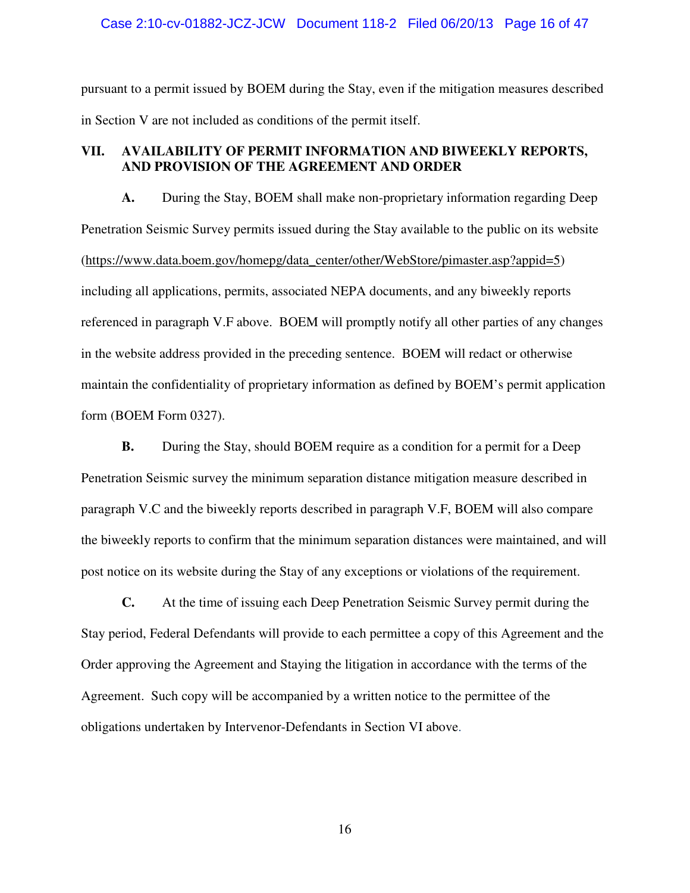#### Case 2:10-cv-01882-JCZ-JCW Document 118-2 Filed 06/20/13 Page 16 of 47

pursuant to a permit issued by BOEM during the Stay, even if the mitigation measures described in Section V are not included as conditions of the permit itself.

# **VII. AVAILABILITY OF PERMIT INFORMATION AND BIWEEKLY REPORTS, AND PROVISION OF THE AGREEMENT AND ORDER**

**A.** During the Stay, BOEM shall make non-proprietary information regarding Deep Penetration Seismic Survey permits issued during the Stay available to the public on its website (https://www.data.boem.gov/homepg/data\_center/other/WebStore/pimaster.asp?appid=5) including all applications, permits, associated NEPA documents, and any biweekly reports referenced in paragraph V.F above. BOEM will promptly notify all other parties of any changes in the website address provided in the preceding sentence. BOEM will redact or otherwise maintain the confidentiality of proprietary information as defined by BOEM's permit application form (BOEM Form 0327).

**B.** During the Stay, should BOEM require as a condition for a permit for a Deep Penetration Seismic survey the minimum separation distance mitigation measure described in paragraph V.C and the biweekly reports described in paragraph V.F, BOEM will also compare the biweekly reports to confirm that the minimum separation distances were maintained, and will post notice on its website during the Stay of any exceptions or violations of the requirement.

**C.** At the time of issuing each Deep Penetration Seismic Survey permit during the Stay period, Federal Defendants will provide to each permittee a copy of this Agreement and the Order approving the Agreement and Staying the litigation in accordance with the terms of the Agreement. Such copy will be accompanied by a written notice to the permittee of the obligations undertaken by Intervenor-Defendants in Section VI above.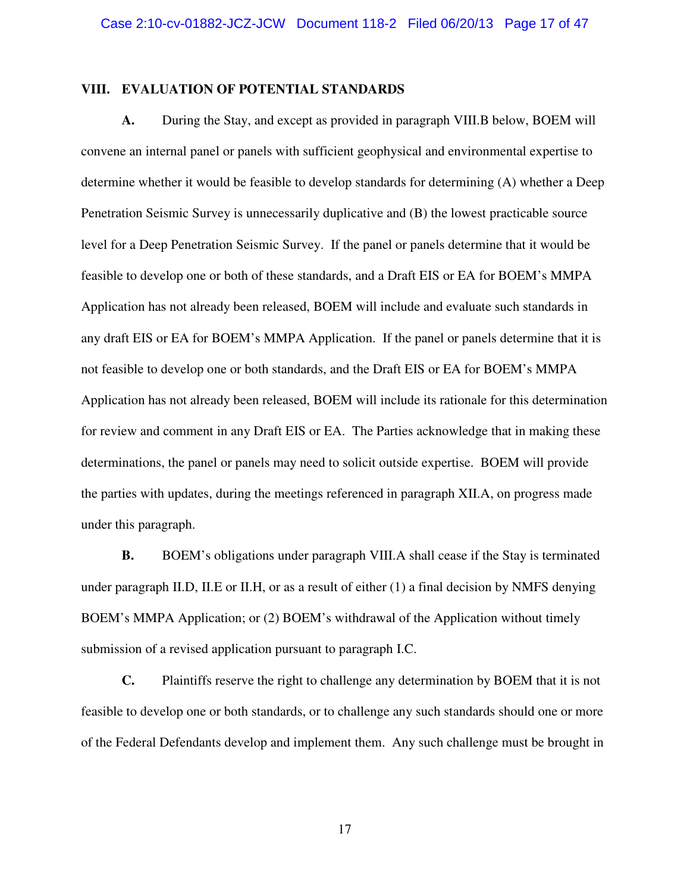#### **VIII. EVALUATION OF POTENTIAL STANDARDS**

**A.** During the Stay, and except as provided in paragraph VIII.B below, BOEM will convene an internal panel or panels with sufficient geophysical and environmental expertise to determine whether it would be feasible to develop standards for determining (A) whether a Deep Penetration Seismic Survey is unnecessarily duplicative and (B) the lowest practicable source level for a Deep Penetration Seismic Survey. If the panel or panels determine that it would be feasible to develop one or both of these standards, and a Draft EIS or EA for BOEM's MMPA Application has not already been released, BOEM will include and evaluate such standards in any draft EIS or EA for BOEM's MMPA Application. If the panel or panels determine that it is not feasible to develop one or both standards, and the Draft EIS or EA for BOEM's MMPA Application has not already been released, BOEM will include its rationale for this determination for review and comment in any Draft EIS or EA. The Parties acknowledge that in making these determinations, the panel or panels may need to solicit outside expertise. BOEM will provide the parties with updates, during the meetings referenced in paragraph XII.A, on progress made under this paragraph.

**B.** BOEM's obligations under paragraph VIII.A shall cease if the Stay is terminated under paragraph II.D, II.E or II.H, or as a result of either (1) a final decision by NMFS denying BOEM's MMPA Application; or (2) BOEM's withdrawal of the Application without timely submission of a revised application pursuant to paragraph I.C.

**C.** Plaintiffs reserve the right to challenge any determination by BOEM that it is not feasible to develop one or both standards, or to challenge any such standards should one or more of the Federal Defendants develop and implement them. Any such challenge must be brought in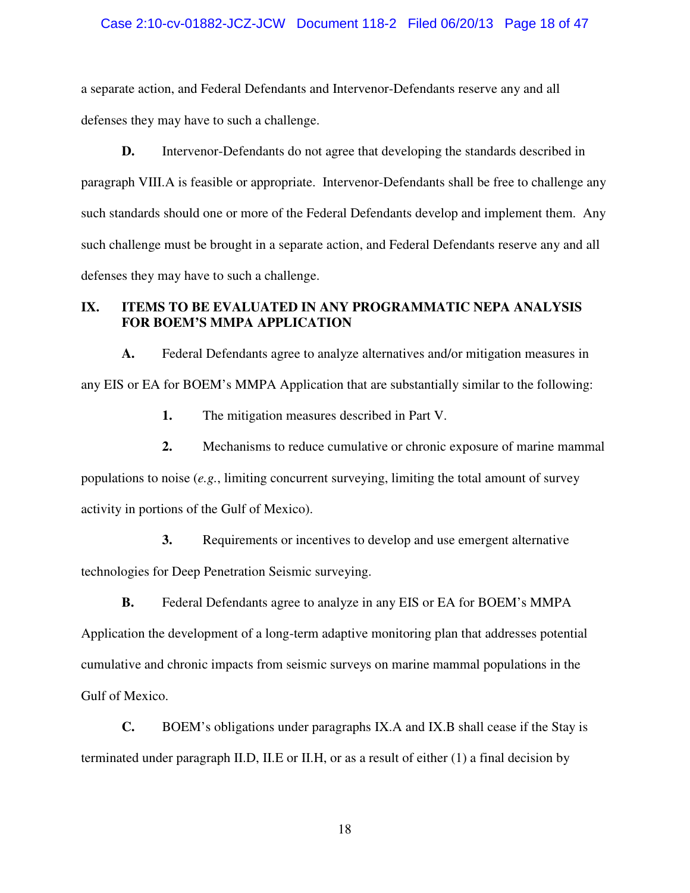#### Case 2:10-cv-01882-JCZ-JCW Document 118-2 Filed 06/20/13 Page 18 of 47

a separate action, and Federal Defendants and Intervenor-Defendants reserve any and all defenses they may have to such a challenge.

**D.** Intervenor-Defendants do not agree that developing the standards described in paragraph VIII.A is feasible or appropriate. Intervenor-Defendants shall be free to challenge any such standards should one or more of the Federal Defendants develop and implement them. Any such challenge must be brought in a separate action, and Federal Defendants reserve any and all defenses they may have to such a challenge.

# **IX. ITEMS TO BE EVALUATED IN ANY PROGRAMMATIC NEPA ANALYSIS FOR BOEM'S MMPA APPLICATION**

**A.** Federal Defendants agree to analyze alternatives and/or mitigation measures in any EIS or EA for BOEM's MMPA Application that are substantially similar to the following:

**1.** The mitigation measures described in Part V.

**2.** Mechanisms to reduce cumulative or chronic exposure of marine mammal populations to noise (*e.g.*, limiting concurrent surveying, limiting the total amount of survey activity in portions of the Gulf of Mexico).

**3.** Requirements or incentives to develop and use emergent alternative technologies for Deep Penetration Seismic surveying.

**B.** Federal Defendants agree to analyze in any EIS or EA for BOEM's MMPA Application the development of a long-term adaptive monitoring plan that addresses potential cumulative and chronic impacts from seismic surveys on marine mammal populations in the Gulf of Mexico.

**C.** BOEM's obligations under paragraphs IX.A and IX.B shall cease if the Stay is terminated under paragraph II.D, II.E or II.H, or as a result of either (1) a final decision by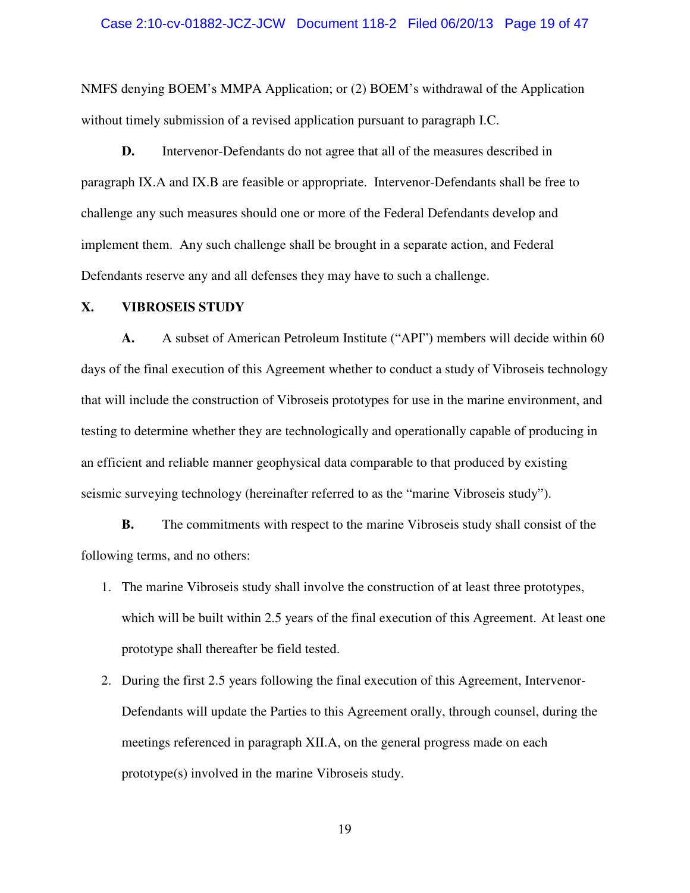#### Case 2:10-cv-01882-JCZ-JCW Document 118-2 Filed 06/20/13 Page 19 of 47

NMFS denying BOEM's MMPA Application; or (2) BOEM's withdrawal of the Application without timely submission of a revised application pursuant to paragraph I.C.

**D.** Intervenor-Defendants do not agree that all of the measures described in paragraph IX.A and IX.B are feasible or appropriate. Intervenor-Defendants shall be free to challenge any such measures should one or more of the Federal Defendants develop and implement them. Any such challenge shall be brought in a separate action, and Federal Defendants reserve any and all defenses they may have to such a challenge.

#### **X. VIBROSEIS STUDY**

**A.** A subset of American Petroleum Institute ("API") members will decide within 60 days of the final execution of this Agreement whether to conduct a study of Vibroseis technology that will include the construction of Vibroseis prototypes for use in the marine environment, and testing to determine whether they are technologically and operationally capable of producing in an efficient and reliable manner geophysical data comparable to that produced by existing seismic surveying technology (hereinafter referred to as the "marine Vibroseis study").

**B.** The commitments with respect to the marine Vibroseis study shall consist of the following terms, and no others:

- 1. The marine Vibroseis study shall involve the construction of at least three prototypes, which will be built within 2.5 years of the final execution of this Agreement. At least one prototype shall thereafter be field tested.
- 2. During the first 2.5 years following the final execution of this Agreement, Intervenor-Defendants will update the Parties to this Agreement orally, through counsel, during the meetings referenced in paragraph XII.A, on the general progress made on each prototype(s) involved in the marine Vibroseis study.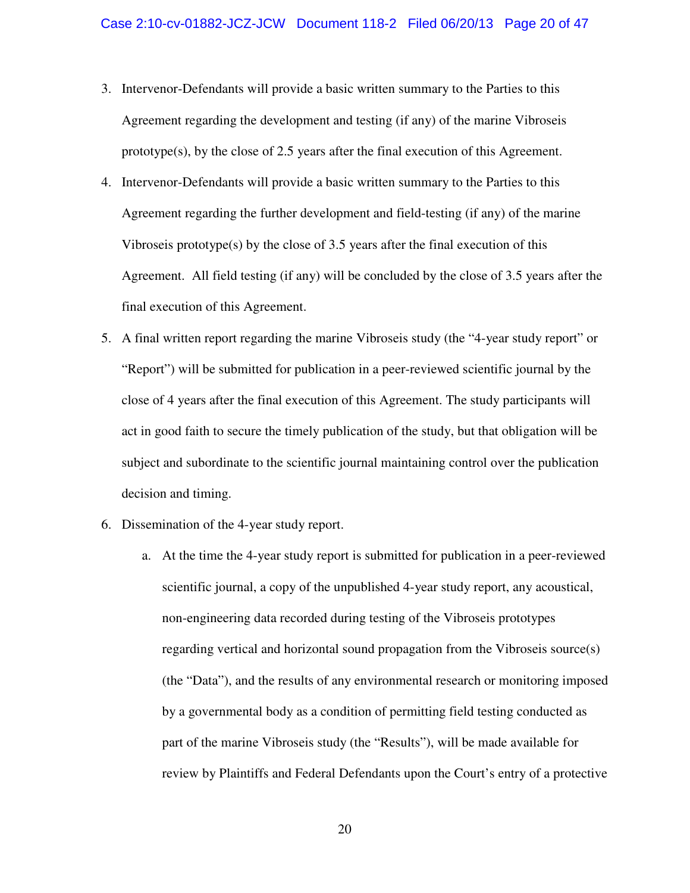- 3. Intervenor-Defendants will provide a basic written summary to the Parties to this Agreement regarding the development and testing (if any) of the marine Vibroseis prototype(s), by the close of 2.5 years after the final execution of this Agreement.
- 4. Intervenor-Defendants will provide a basic written summary to the Parties to this Agreement regarding the further development and field-testing (if any) of the marine Vibroseis prototype(s) by the close of 3.5 years after the final execution of this Agreement. All field testing (if any) will be concluded by the close of 3.5 years after the final execution of this Agreement.
- 5. A final written report regarding the marine Vibroseis study (the "4-year study report" or "Report") will be submitted for publication in a peer-reviewed scientific journal by the close of 4 years after the final execution of this Agreement. The study participants will act in good faith to secure the timely publication of the study, but that obligation will be subject and subordinate to the scientific journal maintaining control over the publication decision and timing.
- 6. Dissemination of the 4-year study report.
	- a. At the time the 4-year study report is submitted for publication in a peer-reviewed scientific journal, a copy of the unpublished 4-year study report, any acoustical, non-engineering data recorded during testing of the Vibroseis prototypes regarding vertical and horizontal sound propagation from the Vibroseis source(s) (the "Data"), and the results of any environmental research or monitoring imposed by a governmental body as a condition of permitting field testing conducted as part of the marine Vibroseis study (the "Results"), will be made available for review by Plaintiffs and Federal Defendants upon the Court's entry of a protective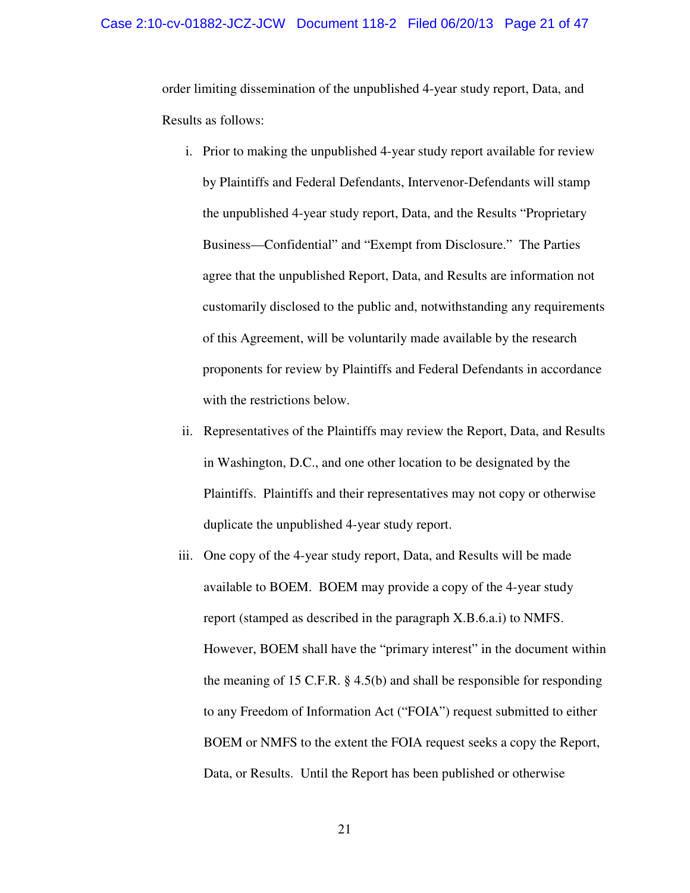#### Case 2:10-cv-01882-JCZ-JCW Document 118-2 Filed 06/20/13 Page 21 of 47

order limiting dissemination of the unpublished 4-year study report, Data, and Results as follows:

- i. Prior to making the unpublished 4-year study report available for review by Plaintiffs and Federal Defendants, Intervenor-Defendants will stamp the unpublished 4-year study report, Data, and the Results "Proprietary Business—Confidential" and "Exempt from Disclosure." The Parties agree that the unpublished Report, Data, and Results are information not customarily disclosed to the public and, notwithstanding any requirements of this Agreement, will be voluntarily made available by the research proponents for review by Plaintiffs and Federal Defendants in accordance with the restrictions below.
- ii. Representatives of the Plaintiffs may review the Report, Data, and Results in Washington, D.C., and one other location to be designated by the Plaintiffs. Plaintiffs and their representatives may not copy or otherwise duplicate the unpublished 4-year study report.
- iii. One copy of the 4-year study report, Data, and Results will be made available to BOEM. BOEM may provide a copy of the 4-year study report (stamped as described in the paragraph X.B.6.a.i) to NMFS. However, BOEM shall have the "primary interest" in the document within the meaning of 15 C.F.R. § 4.5(b) and shall be responsible for responding to any Freedom of Information Act ("FOIA") request submitted to either BOEM or NMFS to the extent the FOIA request seeks a copy the Report, Data, or Results. Until the Report has been published or otherwise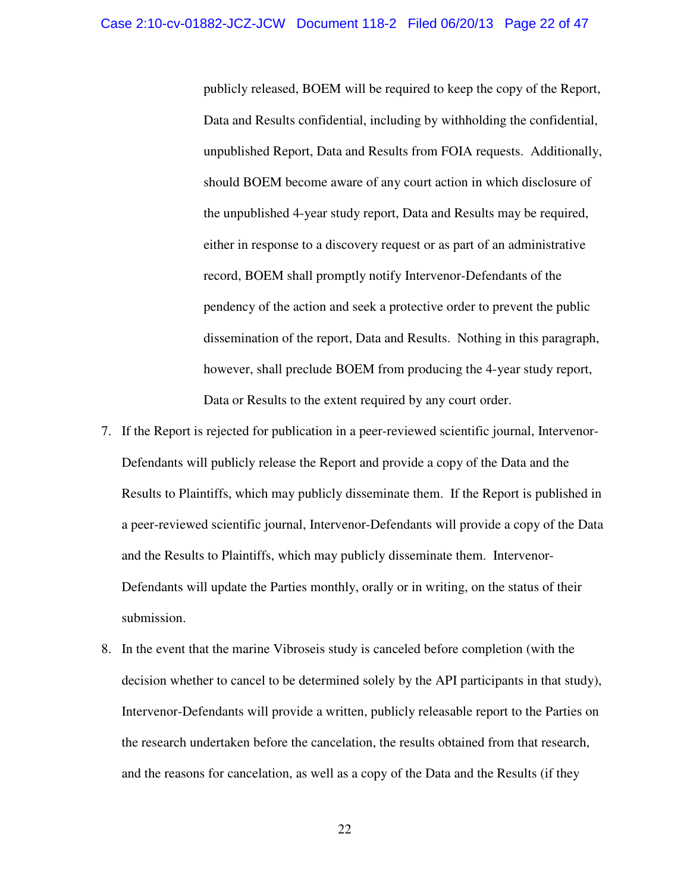publicly released, BOEM will be required to keep the copy of the Report, Data and Results confidential, including by withholding the confidential, unpublished Report, Data and Results from FOIA requests. Additionally, should BOEM become aware of any court action in which disclosure of the unpublished 4-year study report, Data and Results may be required, either in response to a discovery request or as part of an administrative record, BOEM shall promptly notify Intervenor-Defendants of the pendency of the action and seek a protective order to prevent the public dissemination of the report, Data and Results. Nothing in this paragraph, however, shall preclude BOEM from producing the 4-year study report, Data or Results to the extent required by any court order.

- 7. If the Report is rejected for publication in a peer-reviewed scientific journal, Intervenor-Defendants will publicly release the Report and provide a copy of the Data and the Results to Plaintiffs, which may publicly disseminate them. If the Report is published in a peer-reviewed scientific journal, Intervenor-Defendants will provide a copy of the Data and the Results to Plaintiffs, which may publicly disseminate them. Intervenor-Defendants will update the Parties monthly, orally or in writing, on the status of their submission.
- 8. In the event that the marine Vibroseis study is canceled before completion (with the decision whether to cancel to be determined solely by the API participants in that study), Intervenor-Defendants will provide a written, publicly releasable report to the Parties on the research undertaken before the cancelation, the results obtained from that research, and the reasons for cancelation, as well as a copy of the Data and the Results (if they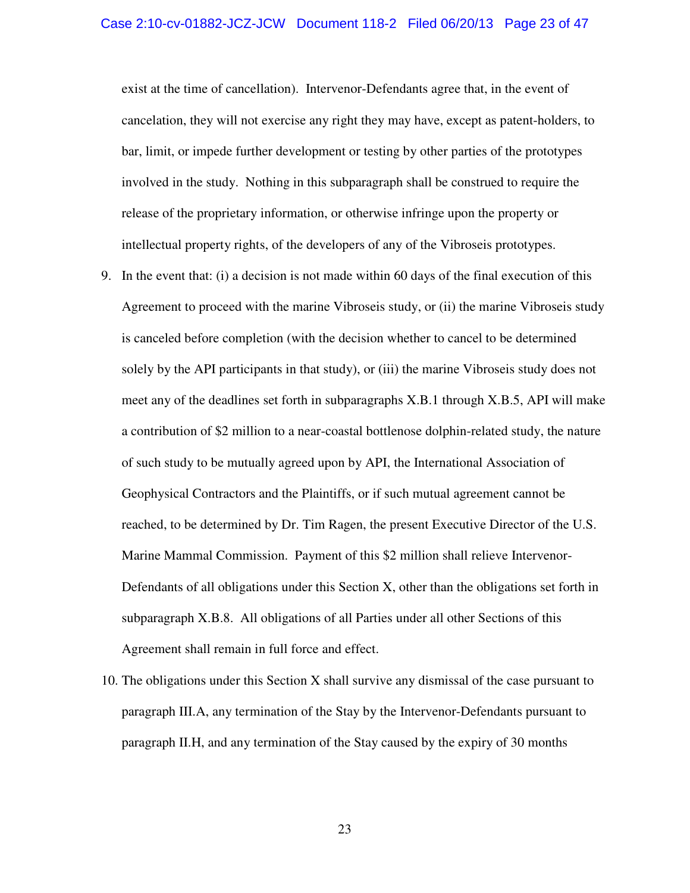exist at the time of cancellation). Intervenor-Defendants agree that, in the event of cancelation, they will not exercise any right they may have, except as patent-holders, to bar, limit, or impede further development or testing by other parties of the prototypes involved in the study. Nothing in this subparagraph shall be construed to require the release of the proprietary information, or otherwise infringe upon the property or intellectual property rights, of the developers of any of the Vibroseis prototypes.

- 9. In the event that: (i) a decision is not made within 60 days of the final execution of this Agreement to proceed with the marine Vibroseis study, or (ii) the marine Vibroseis study is canceled before completion (with the decision whether to cancel to be determined solely by the API participants in that study), or (iii) the marine Vibroseis study does not meet any of the deadlines set forth in subparagraphs X.B.1 through X.B.5, API will make a contribution of \$2 million to a near-coastal bottlenose dolphin-related study, the nature of such study to be mutually agreed upon by API, the International Association of Geophysical Contractors and the Plaintiffs, or if such mutual agreement cannot be reached, to be determined by Dr. Tim Ragen, the present Executive Director of the U.S. Marine Mammal Commission. Payment of this \$2 million shall relieve Intervenor-Defendants of all obligations under this Section X, other than the obligations set forth in subparagraph X.B.8. All obligations of all Parties under all other Sections of this Agreement shall remain in full force and effect.
- 10. The obligations under this Section X shall survive any dismissal of the case pursuant to paragraph III.A, any termination of the Stay by the Intervenor-Defendants pursuant to paragraph II.H, and any termination of the Stay caused by the expiry of 30 months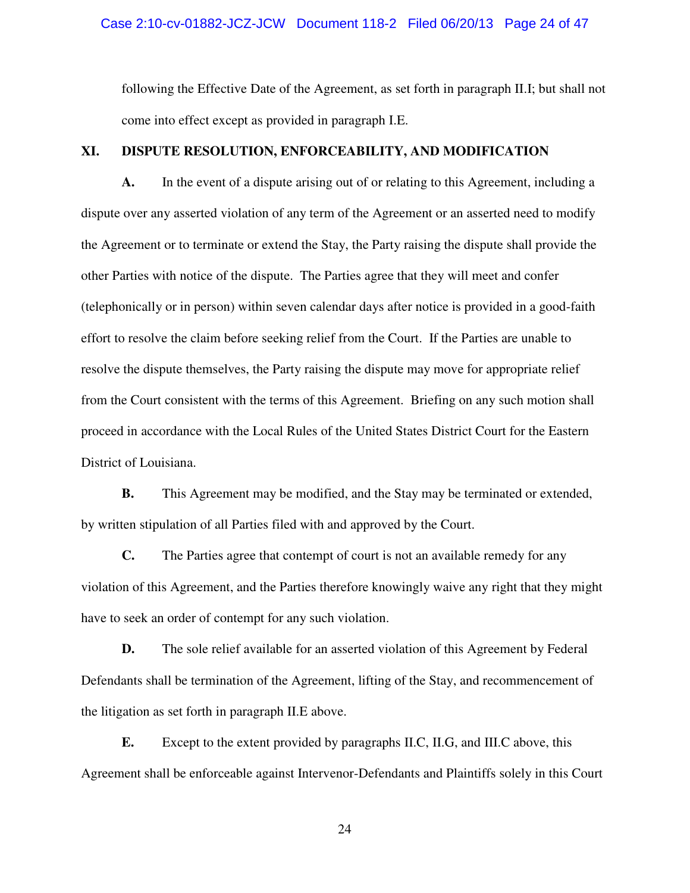following the Effective Date of the Agreement, as set forth in paragraph II.I; but shall not come into effect except as provided in paragraph I.E.

## **XI. DISPUTE RESOLUTION, ENFORCEABILITY, AND MODIFICATION**

**A.** In the event of a dispute arising out of or relating to this Agreement, including a dispute over any asserted violation of any term of the Agreement or an asserted need to modify the Agreement or to terminate or extend the Stay, the Party raising the dispute shall provide the other Parties with notice of the dispute. The Parties agree that they will meet and confer (telephonically or in person) within seven calendar days after notice is provided in a good-faith effort to resolve the claim before seeking relief from the Court. If the Parties are unable to resolve the dispute themselves, the Party raising the dispute may move for appropriate relief from the Court consistent with the terms of this Agreement. Briefing on any such motion shall proceed in accordance with the Local Rules of the United States District Court for the Eastern District of Louisiana.

**B.** This Agreement may be modified, and the Stay may be terminated or extended, by written stipulation of all Parties filed with and approved by the Court.

**C.** The Parties agree that contempt of court is not an available remedy for any violation of this Agreement, and the Parties therefore knowingly waive any right that they might have to seek an order of contempt for any such violation.

**D.** The sole relief available for an asserted violation of this Agreement by Federal Defendants shall be termination of the Agreement, lifting of the Stay, and recommencement of the litigation as set forth in paragraph II.E above.

**E.** Except to the extent provided by paragraphs II.C, II.G, and III.C above, this Agreement shall be enforceable against Intervenor-Defendants and Plaintiffs solely in this Court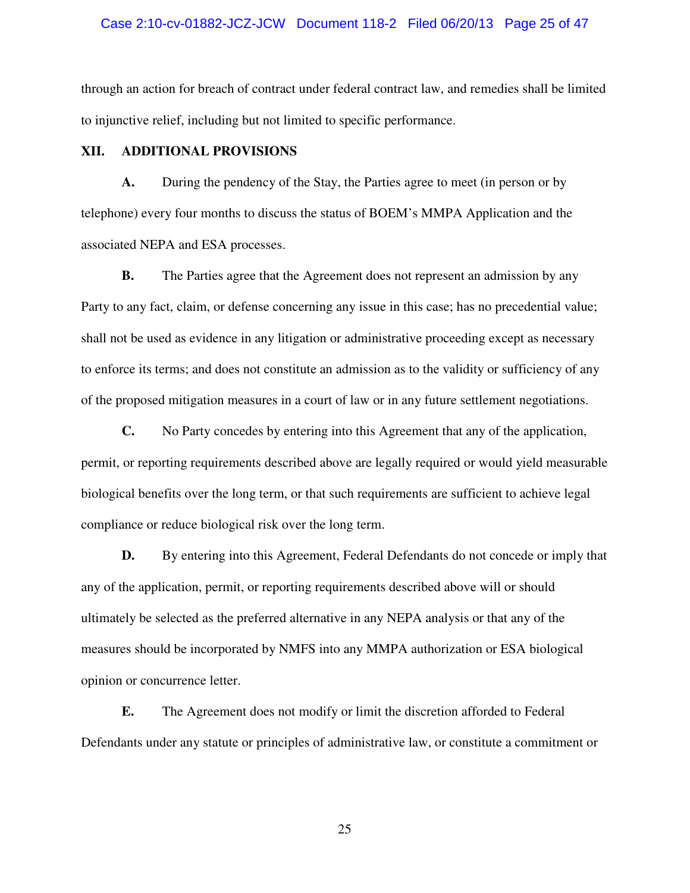#### Case 2:10-cv-01882-JCZ-JCW Document 118-2 Filed 06/20/13 Page 25 of 47

through an action for breach of contract under federal contract law, and remedies shall be limited to injunctive relief, including but not limited to specific performance.

#### **XII. ADDITIONAL PROVISIONS**

**A.** During the pendency of the Stay, the Parties agree to meet (in person or by telephone) every four months to discuss the status of BOEM's MMPA Application and the associated NEPA and ESA processes.

**B.** The Parties agree that the Agreement does not represent an admission by any Party to any fact, claim, or defense concerning any issue in this case; has no precedential value; shall not be used as evidence in any litigation or administrative proceeding except as necessary to enforce its terms; and does not constitute an admission as to the validity or sufficiency of any of the proposed mitigation measures in a court of law or in any future settlement negotiations.

**C.** No Party concedes by entering into this Agreement that any of the application, permit, or reporting requirements described above are legally required or would yield measurable biological benefits over the long term, or that such requirements are sufficient to achieve legal compliance or reduce biological risk over the long term.

**D.** By entering into this Agreement, Federal Defendants do not concede or imply that any of the application, permit, or reporting requirements described above will or should ultimately be selected as the preferred alternative in any NEPA analysis or that any of the measures should be incorporated by NMFS into any MMPA authorization or ESA biological opinion or concurrence letter.

**E.** The Agreement does not modify or limit the discretion afforded to Federal Defendants under any statute or principles of administrative law, or constitute a commitment or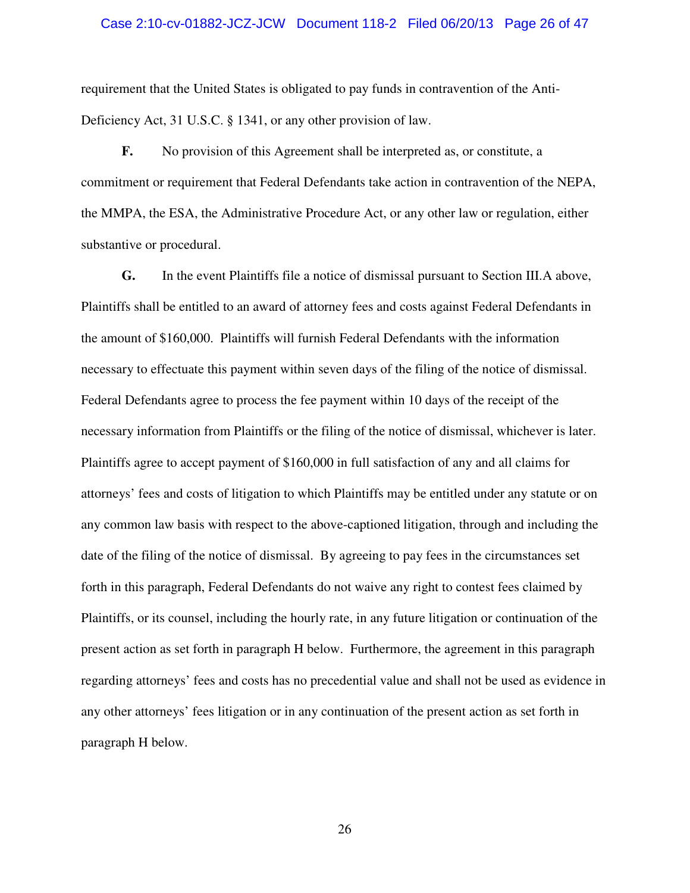#### Case 2:10-cv-01882-JCZ-JCW Document 118-2 Filed 06/20/13 Page 26 of 47

requirement that the United States is obligated to pay funds in contravention of the Anti-Deficiency Act, 31 U.S.C. § 1341, or any other provision of law.

**F.** No provision of this Agreement shall be interpreted as, or constitute, a commitment or requirement that Federal Defendants take action in contravention of the NEPA, the MMPA, the ESA, the Administrative Procedure Act, or any other law or regulation, either substantive or procedural.

**G.** In the event Plaintiffs file a notice of dismissal pursuant to Section III.A above, Plaintiffs shall be entitled to an award of attorney fees and costs against Federal Defendants in the amount of \$160,000. Plaintiffs will furnish Federal Defendants with the information necessary to effectuate this payment within seven days of the filing of the notice of dismissal. Federal Defendants agree to process the fee payment within 10 days of the receipt of the necessary information from Plaintiffs or the filing of the notice of dismissal, whichever is later. Plaintiffs agree to accept payment of \$160,000 in full satisfaction of any and all claims for attorneys' fees and costs of litigation to which Plaintiffs may be entitled under any statute or on any common law basis with respect to the above-captioned litigation, through and including the date of the filing of the notice of dismissal. By agreeing to pay fees in the circumstances set forth in this paragraph, Federal Defendants do not waive any right to contest fees claimed by Plaintiffs, or its counsel, including the hourly rate, in any future litigation or continuation of the present action as set forth in paragraph H below. Furthermore, the agreement in this paragraph regarding attorneys' fees and costs has no precedential value and shall not be used as evidence in any other attorneys' fees litigation or in any continuation of the present action as set forth in paragraph H below.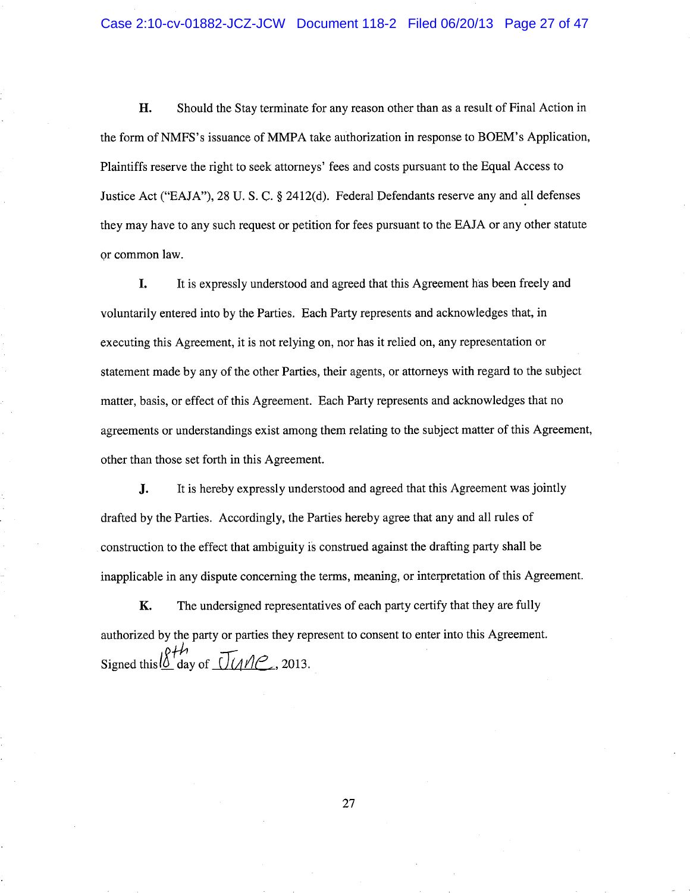#### Case 2:10-cv-01882-JCZ-JCW Document 118-2 Filed 06/20/13 Page 27 of 47

H. Should the Stay terminate for any reason other than as a result of Final Action in the form of NMFS's issuance of MMPA take authorization in response to BOEM's Application, Plaintiffs reserve the right to seek attorneys' fees and costs pursuant to the Equal Access to Justice Act ("EAJA"), 28 U. S. C. § 2412(d). Federal Defendants reserve any and all defenses they may have to any such request or petition for fees pursuant to the EAJA or any other statute or common law.

I. It is expressly understood and agreed that this Agreement has been freely and voluntarily entered into by the Parties. Each Party represents and acknowledges that, in executing this Agreement, it is not relying on, nor has it relied on, any representation or statement made by any of the other Parties, their agents, or attorneys with regard to the subject matter, basis, or effect of this Agreement. Each Party represents and acknowledges that no agreements or understandings exist among them relating to the subject matter of this Agreement, other than those set forth in this Agreement.

J. It is hereby expressly understood and agreed that this Agreement was jointly drafted by the Parties. Accordingly, the Parties hereby agree that any and all rules of construction to the effect that ambiguity is construed against the drafting party shall be inapplicable in any dispute concerning the terms, meaning, or interpretation of this Agreement.

K. The undersigned representatives of each party certify that they are fully authorized by the party or parties they represent to consent to enter into this Agreement. Signed this  $\bigcup_{\alpha=0}^{p+h}$  day of  $\bigcup_{\alpha=0}^{p+h}$  2013.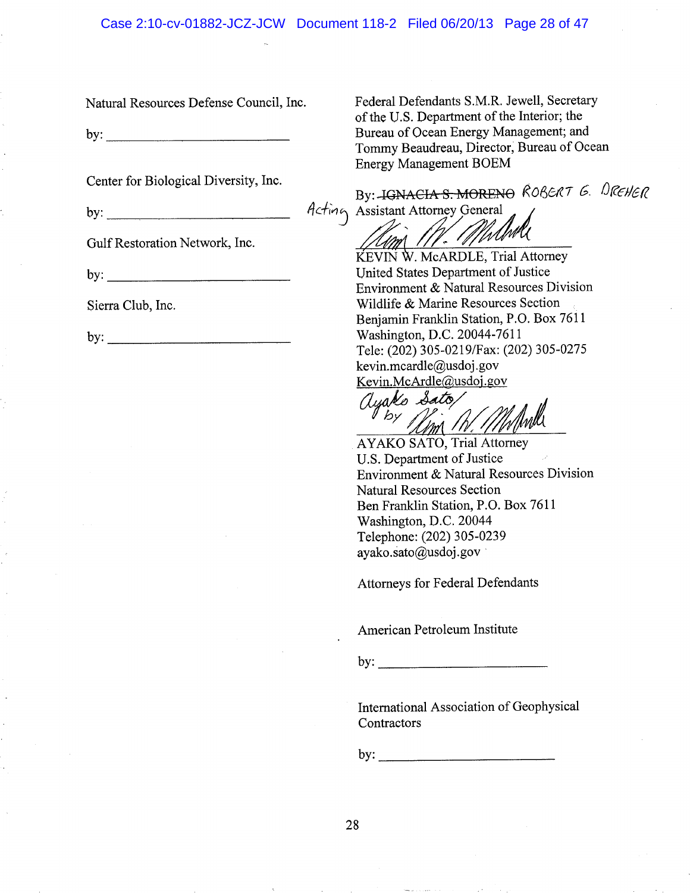Natural Resources Defense Council, Inc

by:

Center for Biological Diversity, Inc.

by:  $\qquad \qquad$ 

Gulf Restoration Network, Inc.

by:

Sierra Club, Inc.

by:  $\frac{y}{1 + y}$ 

Federal Defendants S.M.R. Jewell, Secretary of the U.S. Department of the Interior; the Bureau of Ocean Energy Management; and Tommy Beaudreau, Director, Bureau of Ocean Energy Management BOEM

By: JGNACIA S. MORENO ROBERT 6. DREHER Acting Assistant Attorney General

it<sub>,</sub> 1 NbSt

KEVIN W. McARDLE, Trial Attorney United States Department of Justice Environment & Natural Resources Division Wildlife & Marine Resources Section Benjamin Franklin Station, P.O. Box 7611 Washington, D.C. 20044-7611 Tele: (202) 305-0219/Fax: (202) 305-0275 kevin.mcardle@usdoj.gov

Kevin.McArdle@usdoj.gov<br>*(Lyako Sato/* by Rim W. Ml

AYAKO SATO, Trial Attorney U.S. Department of Justice Environment & Natural Resources Division Natural Resources Section Ben Franklin Station, P.O. Box 7611 Washington, D.C. 20044 Telephone: (202) 305-0239 ayako.sato@usdoj.gov

Attorneys for Federal Defendants

American Petroleum Institute

by:

International Association of Geophysical **Contractors** 

by: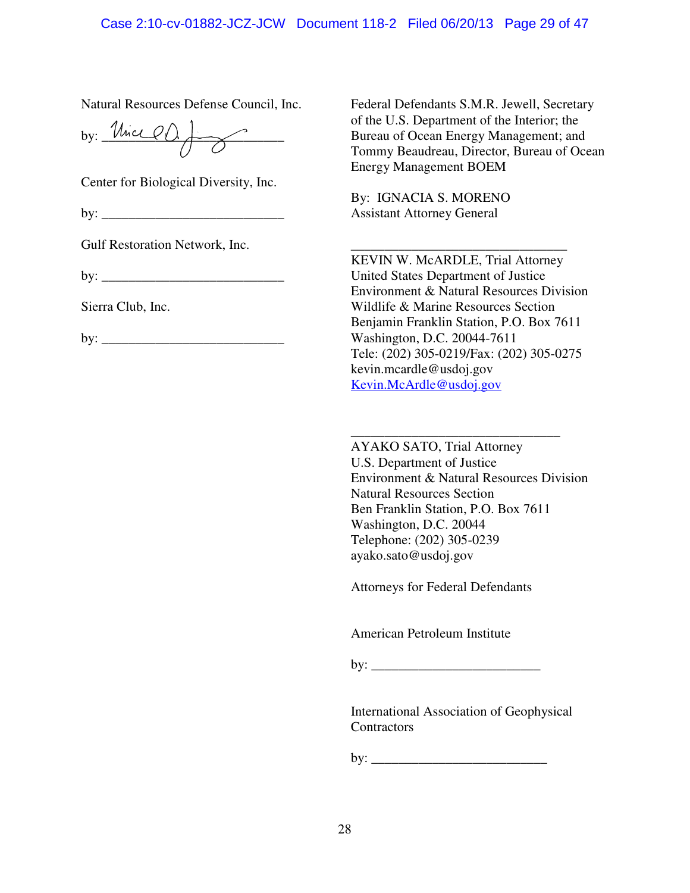Natural Resources Defense Council, Inc.

by:  $\underbrace{\text{MacLO}}$ 

Center for Biological Diversity, Inc.

by: \_\_\_\_\_\_\_\_\_\_\_\_\_\_\_\_\_\_\_\_\_\_\_\_\_\_\_

Gulf Restoration Network, Inc.

 $\mathbf{b}$ y:

Sierra Club, Inc.

by: \_\_\_\_\_\_\_\_\_\_\_\_\_\_\_\_\_\_\_\_\_\_\_\_\_\_\_

Federal Defendants S.M.R. Jewell, Secretary of the U.S. Department of the Interior; the Bureau of Ocean Energy Management; and Tommy Beaudreau, Director, Bureau of Ocean Energy Management BOEM

By: IGNACIA S. MORENO Assistant Attorney General

\_\_\_\_\_\_\_\_\_\_\_\_\_\_\_\_\_\_\_\_\_\_\_\_\_\_\_\_\_\_\_\_ KEVIN W. McARDLE, Trial Attorney United States Department of Justice Environment & Natural Resources Division Wildlife & Marine Resources Section Benjamin Franklin Station, P.O. Box 7611 Washington, D.C. 20044-7611 Tele: (202) 305-0219/Fax: (202) 305-0275 kevin.mcardle@usdoj.gov Kevin.McArdle@usdoj.gov

AYAKO SATO, Trial Attorney U.S. Department of Justice Environment & Natural Resources Division Natural Resources Section Ben Franklin Station, P.O. Box 7611 Washington, D.C. 20044 Telephone: (202) 305-0239 ayako.sato@usdoj.gov

\_\_\_\_\_\_\_\_\_\_\_\_\_\_\_\_\_\_\_\_\_\_\_\_\_\_\_\_\_\_\_

Attorneys for Federal Defendants

American Petroleum Institute

by: \_\_\_\_\_\_\_\_\_\_\_\_\_\_\_\_\_\_\_\_\_\_\_\_\_

International Association of Geophysical **Contractors** 

by: \_\_\_\_\_\_\_\_\_\_\_\_\_\_\_\_\_\_\_\_\_\_\_\_\_\_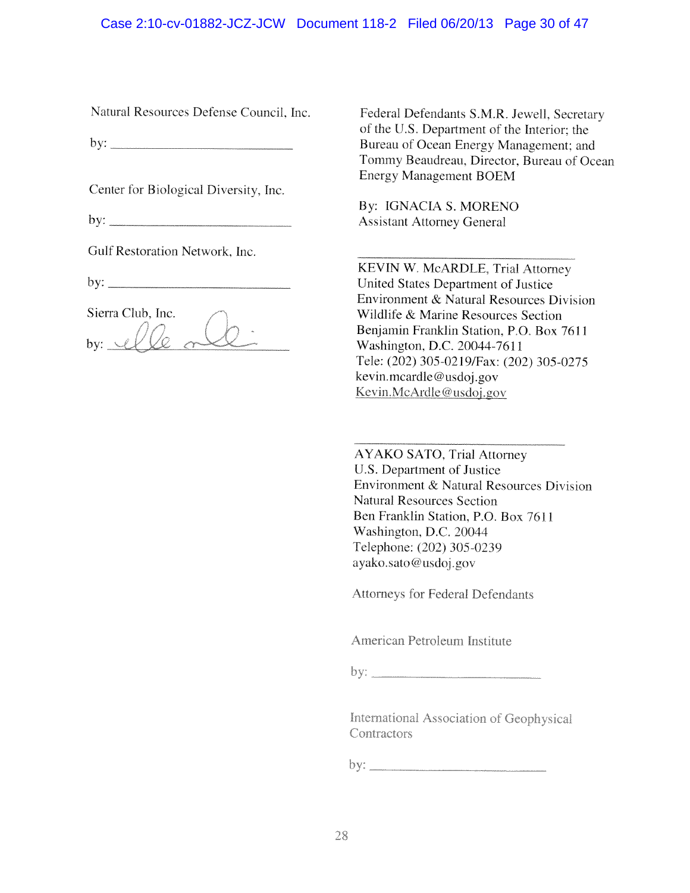## Case 2:10-cv-01882-JCZ-JCW Document 118-2 Filed 06/20/13 Page 30 of 47

Natural Resources Defense Council, Inc.

by:  $\qquad \qquad$ 

Center for Biological Diversity, Inc.

 $\mathbf{b} \mathbf{y}$ :

Gulf Restoration Network, Inc.

by:  $\qquad \qquad$ 

Sierra Club. Inc.  $hv:$ 

Federal Defendants S.M.R. Jewell, Secretary of the U.S. Department of the Interior; the Bureau of Ocean Energy Management; and Tommy Beaudreau, Director, Bureau of Ocean **Energy Management BOEM** 

By: IGNACIA S. MORENO **Assistant Attorney General** 

KEVIN W. McARDLE, Trial Attorney United States Department of Justice Environment & Natural Resources Division Wildlife & Marine Resources Section Benjamin Franklin Station, P.O. Box 7611 Washington, D.C. 20044-7611 Tele: (202) 305-0219/Fax: (202) 305-0275 kevin.mcardle@usdoj.gov Kevin.McArdle@usdoj.gov

**AYAKO SATO, Trial Attorney** U.S. Department of Justice Environment & Natural Resources Division **Natural Resources Section** Ben Franklin Station, P.O. Box 7611 Washington, D.C. 20044 Telephone: (202) 305-0239 ayako.sato@usdoj.gov

Attorneys for Federal Defendants

American Petroleum Institute

International Association of Geophysical Contractors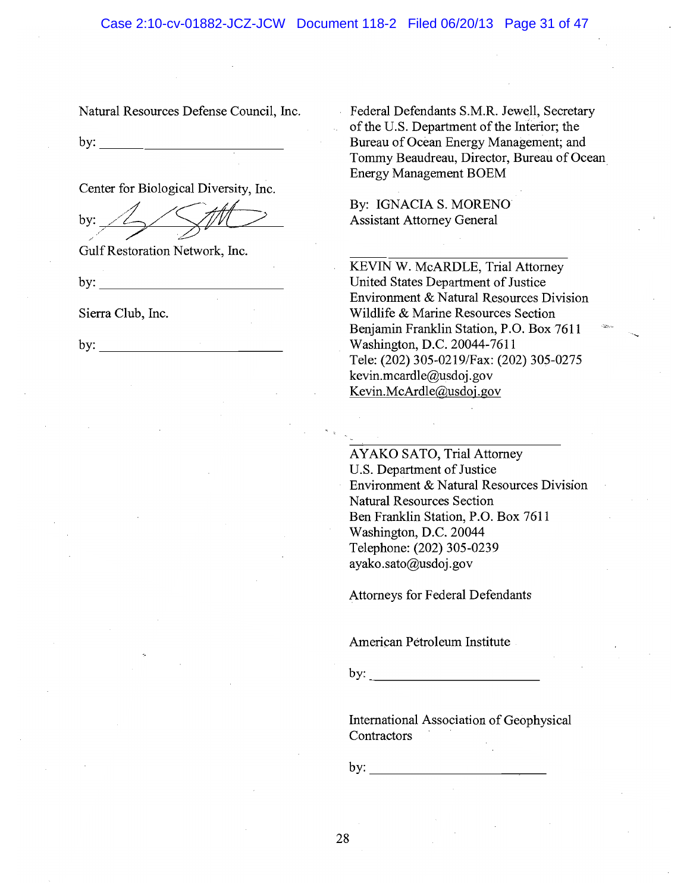Natural Resources Defense Council, Inc.

 $by:$ 

Center for Biological Diversity, Inc.

 $bv$ :

Gulf Restoration Network, Inc.

 $by:$ 

Sierra Club, Inc.

 $by:$ 

Federal Defendants S.M.R. Jewell, Secretary of the U.S. Department of the Interior; the Bureau of Ocean Energy Management; and Tommy Beaudreau, Director, Bureau of Ocean **Energy Management BOEM** 

By: IGNACIA S. MORENO **Assistant Attorney General** 

KEVIN W. McARDLE, Trial Attorney United States Department of Justice Environment & Natural Resources Division Wildlife & Marine Resources Section Benjamin Franklin Station, P.O. Box 7611 Washington, D.C. 20044-7611 Tele: (202) 305-0219/Fax: (202) 305-0275 kevin.mcardle@usdoj.gov Kevin.McArdle@usdoj.gov

**AYAKO SATO, Trial Attorney** U.S. Department of Justice Environment & Natural Resources Division Natural Resources Section Ben Franklin Station, P.O. Box 7611 Washington, D.C. 20044 Telephone: (202) 305-0239 ayako.sato@usdoj.gov

**Attorneys for Federal Defendants** 

American Petroleum Institute

 $by:$ 

International Association of Geophysical Contractors

 $by:$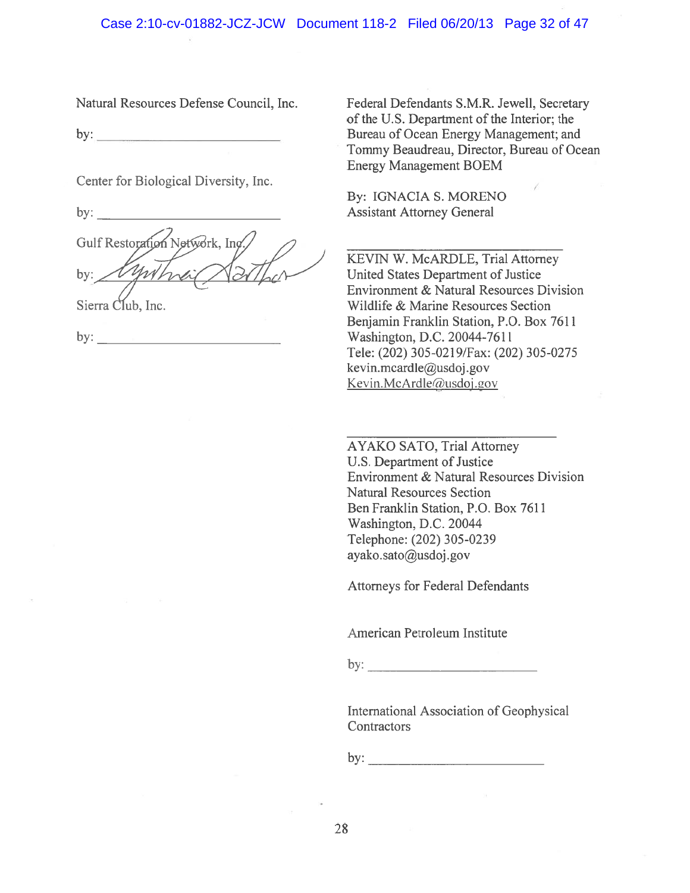Natural Resources Defense Council, Inc.

 $\mathbf{b}$ y:

Center for Biological Diversity, Inc.

 $by:$ 

Gulf Restoration Network, Inc.  $by:$ 

Sierra Club, Inc.

 $\mathbf{b}$ .

Federal Defendants S.M.R. Jewell, Secretary of the U.S. Department of the Interior; the Bureau of Ocean Energy Management; and Tommy Beaudreau, Director, Bureau of Ocean **Energy Management BOEM** 

By: IGNACIA S. MORENO **Assistant Attorney General** 

KEVIN W. McARDLE, Trial Attorney United States Department of Justice Environment & Natural Resources Division Wildlife & Marine Resources Section Benjamin Franklin Station, P.O. Box 7611 Washington, D.C. 20044-7611 Tele: (202) 305-0219/Fax: (202) 305-0275 kevin.mcardle@usdoj.gov Kevin.McArdle@usdoj.gov

**AYAKO SATO, Trial Attorney** U.S. Department of Justice Environment & Natural Resources Division Natural Resources Section Ben Franklin Station, P.O. Box 7611 Washington, D.C. 20044 Telephone: (202) 305-0239 ayako.sato@usdoj.gov

**Attorneys for Federal Defendants** 

**American Petroleum Institute** 

 $\mathbf{b}$ y:

International Association of Geophysical Contractors

by:  $\qquad \qquad$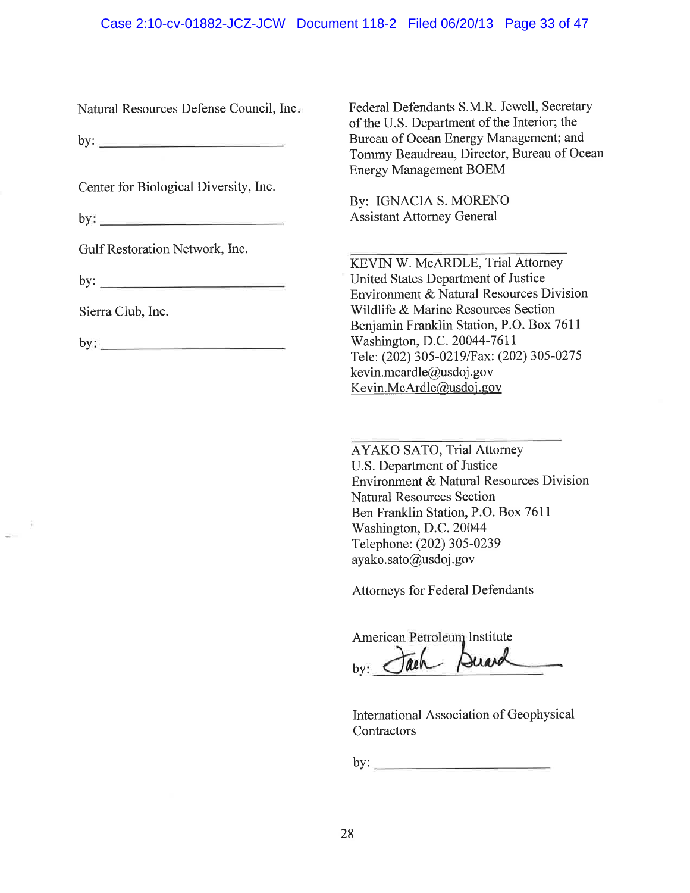## Case 2:10-cv-01882-JCZ-JCW Document 118-2 Filed 06/20/13 Page 33 of 47

Natural Resources Defense Council, Inc.

Center for Biological Diversity, Inc.

Gulf Restoration Network, Inc.

 $\mathbf{b}$ y:

Sierra Club, Inc.

Federal Defendants S.M.R. Jewell, Secretary of the U.S. Department of the Interior; the Bureau of Ocean Energy Management; and Tommy Beaudreau, Director, Bureau of Ocean **Energy Management BOEM** 

By: IGNACIA S. MORENO **Assistant Attorney General** 

KEVIN W. McARDLE, Trial Attorney United States Department of Justice Environment & Natural Resources Division Wildlife & Marine Resources Section Benjamin Franklin Station, P.O. Box 7611 Washington, D.C. 20044-7611 Tele: (202) 305-0219/Fax: (202) 305-0275 kevin.mcardle@usdoj.gov Kevin.McArdle@usdoj.gov

**AYAKO SATO, Trial Attorney** U.S. Department of Justice Environment & Natural Resources Division **Natural Resources Section** Ben Franklin Station, P.O. Box 7611 Washington, D.C. 20044 Telephone: (202) 305-0239  $avako.sato@usdoj.gov$ 

**Attorneys for Federal Defendants** 

American Petroleum Institute āıh Duard

International Association of Geophysical Contractors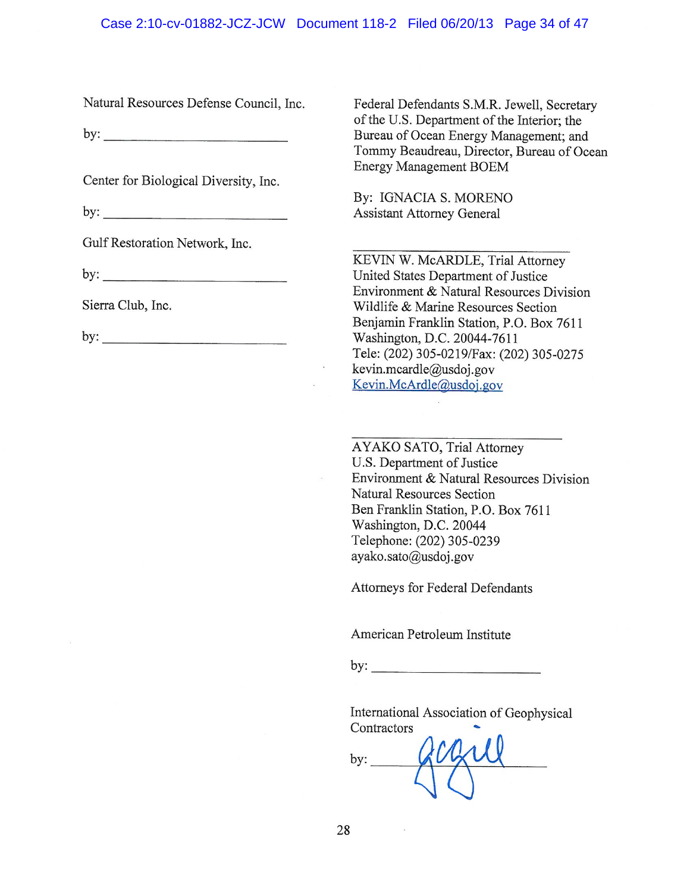Natural Resources Defense Council, Inc.

by:  $\qquad \qquad$ 

Center for Biological Diversity, Inc.

 $\mathbf{b}$ y:

Gulf Restoration Network, Inc.

by:  $\qquad \qquad$ 

 $\mathcal{U}$ 

Sierra Club, Inc.

Federal Defendants S.M.R. Jewell, Secretary of the U.S. Department of the Interior; the Bureau of Ocean Energy Management; and Tommy Beaudreau, Director, Bureau of Ocean **Energy Management BOEM** 

By: IGNACIA S. MORENO **Assistant Attorney General** 

KEVIN W. McARDLE, Trial Attorney United States Department of Justice Environment & Natural Resources Division Wildlife & Marine Resources Section Benjamin Franklin Station, P.O. Box 7611 Washington, D.C. 20044-7611 Tele: (202) 305-0219/Fax: (202) 305-0275 kevin.mcardle@usdoj.gov Kevin.McArdle@usdoj.gov

**AYAKO SATO, Trial Attorney** U.S. Department of Justice Environment & Natural Resources Division Natural Resources Section Ben Franklin Station, P.O. Box 7611 Washington, D.C. 20044 Telephone: (202) 305-0239 ayako.sato@usdoj.gov

Attorneys for Federal Defendants

American Petroleum Institute

by:  $\qquad \qquad$ 

International Association of Geophysical Contractors

 $by:$ 

 $\langle \hat{\mathbf{e}}_i \rangle$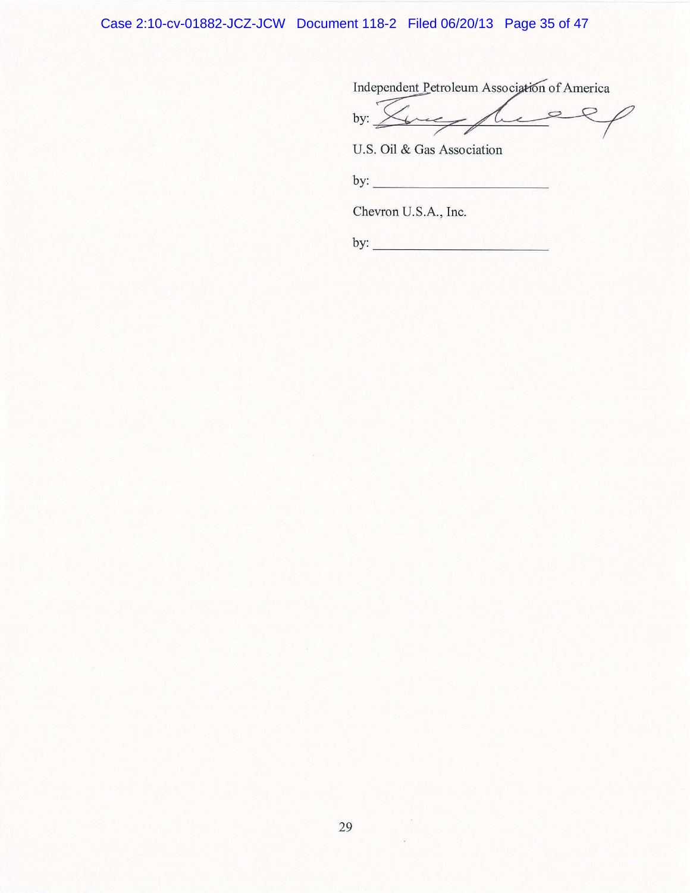Case 2:10-cv-01882-JCZ-JCW Document 118-2 Filed 06/20/13 Page 35 of 47

| Independent Petroleum Association of America |
|----------------------------------------------|
|                                              |
|                                              |

U.S. **Oil** & Gas Association

by:  $\Box$ 

Chevron U.S.A., Inc.

by:  $\overline{\phantom{a}}$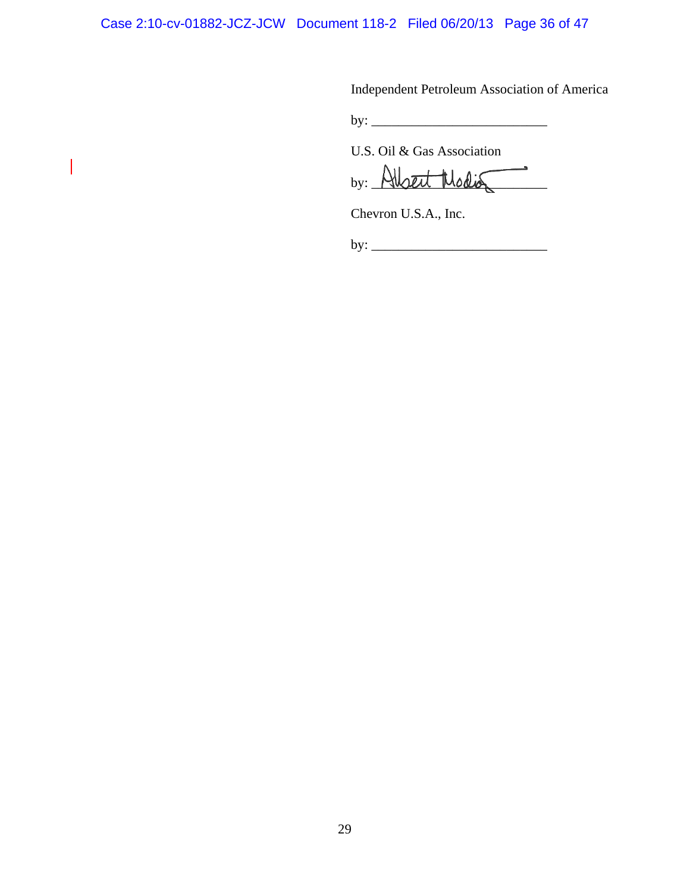$\overline{\phantom{a}}$ 

# Independent Petroleum Association of America

by: \_\_\_\_\_\_\_\_\_\_\_\_\_\_\_\_\_\_\_\_\_\_\_\_\_\_

U.S. Oil & Gas Association

 $b$ y: Albert Modia

Chevron U.S.A., Inc.

by: \_\_\_\_\_\_\_\_\_\_\_\_\_\_\_\_\_\_\_\_\_\_\_\_\_\_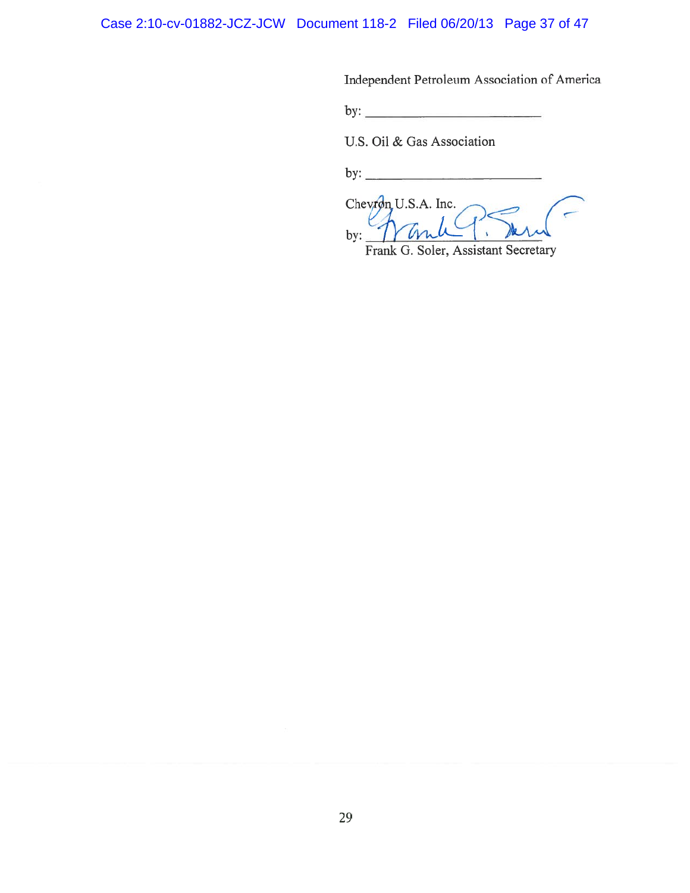# Independent Petroleum Association of America

by:  $\qquad \qquad$ 

U.S. Oil & Gas Association

by:  $\qquad \qquad$ 

Chevron U.S.A. Inc. by:

Frank G. Soler, Assistant Secretary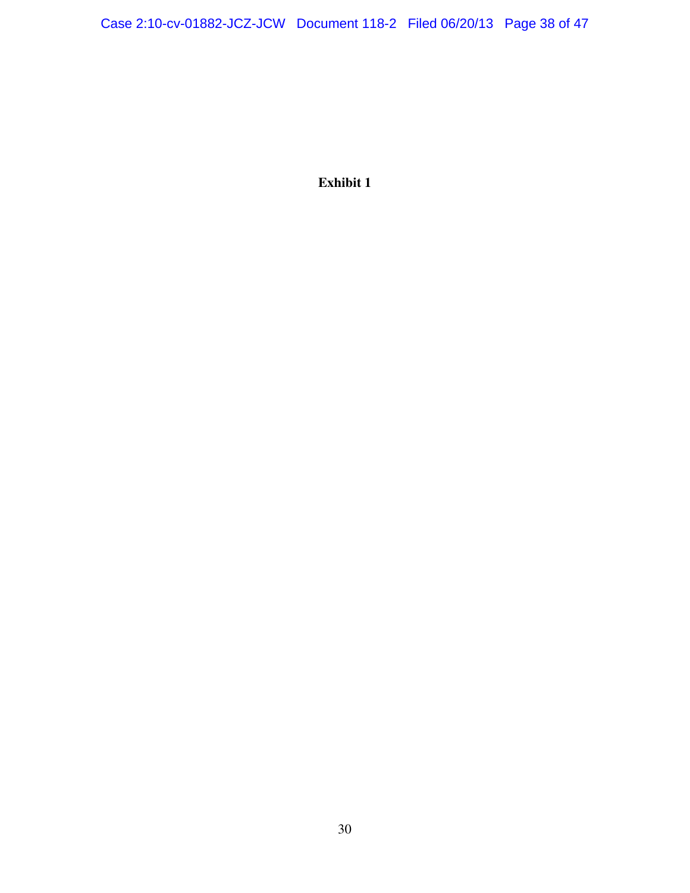Case 2:10-cv-01882-JCZ-JCW Document 118-2 Filed 06/20/13 Page 38 of 47

**Exhibit 1**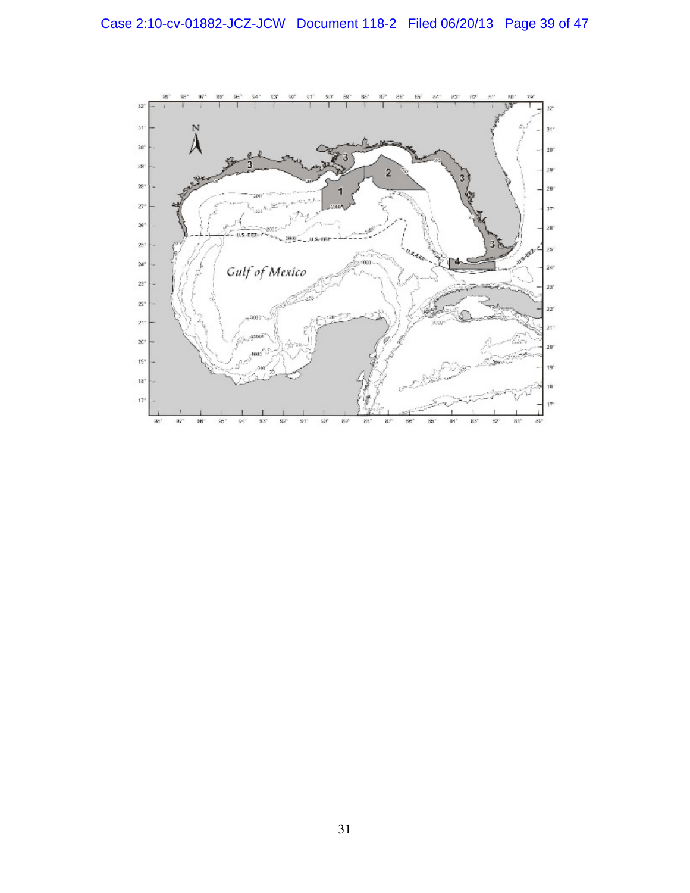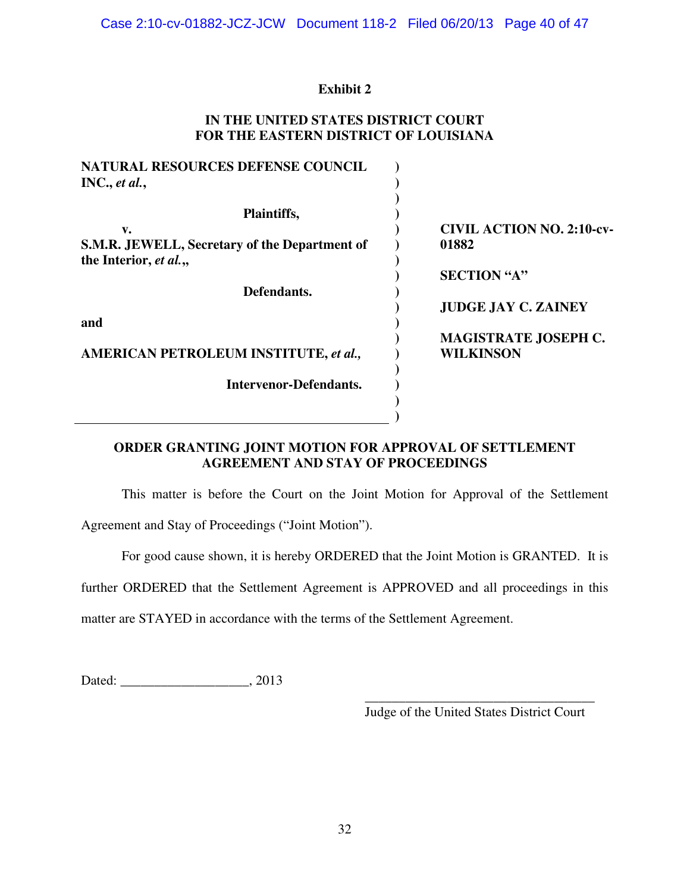# **Exhibit 2**

# **IN THE UNITED STATES DISTRICT COURT FOR THE EASTERN DISTRICT OF LOUISIANA**

| <b>NATURAL RESOURCES DEFENSE COUNCIL</b>      |                                  |
|-----------------------------------------------|----------------------------------|
| INC., et al.,                                 |                                  |
| Plaintiffs,                                   |                                  |
|                                               |                                  |
| v.                                            | <b>CIVIL ACTION NO. 2:10-cv-</b> |
| S.M.R. JEWELL, Secretary of the Department of | 01882                            |
| the Interior, et al.,                         |                                  |
|                                               | <b>SECTION</b> "A"               |
| Defendants.                                   |                                  |
|                                               | <b>JUDGE JAY C. ZAINEY</b>       |
| and                                           |                                  |
|                                               | <b>MAGISTRATE JOSEPH C.</b>      |
| AMERICAN PETROLEUM INSTITUTE, et al.,         | <b>WILKINSON</b>                 |
|                                               |                                  |
| <b>Intervenor-Defendants.</b>                 |                                  |
|                                               |                                  |
|                                               |                                  |

# **ORDER GRANTING JOINT MOTION FOR APPROVAL OF SETTLEMENT AGREEMENT AND STAY OF PROCEEDINGS**

This matter is before the Court on the Joint Motion for Approval of the Settlement

Agreement and Stay of Proceedings ("Joint Motion").

For good cause shown, it is hereby ORDERED that the Joint Motion is GRANTED. It is

further ORDERED that the Settlement Agreement is APPROVED and all proceedings in this

matter are STAYED in accordance with the terms of the Settlement Agreement.

Dated: \_\_\_\_\_\_\_\_\_\_\_\_\_\_\_\_\_\_\_\_\_\_\_\_\_\_, 2013

\_\_\_\_\_\_\_\_\_\_\_\_\_\_\_\_\_\_\_\_\_\_\_\_\_\_\_\_\_\_\_\_\_\_ Judge of the United States District Court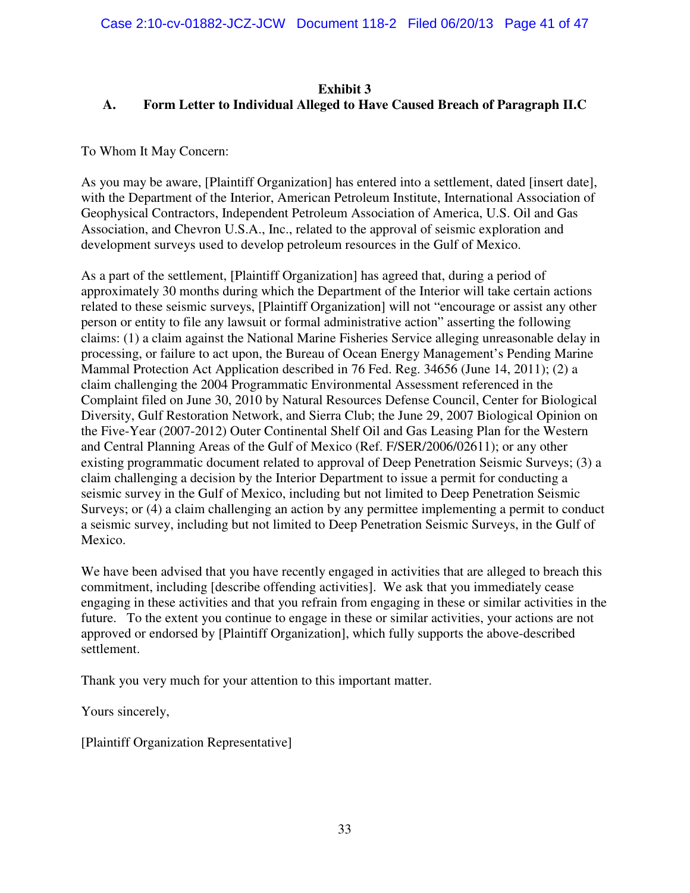# **Exhibit 3 A. Form Letter to Individual Alleged to Have Caused Breach of Paragraph II.C**

To Whom It May Concern:

As you may be aware, [Plaintiff Organization] has entered into a settlement, dated [insert date], with the Department of the Interior, American Petroleum Institute, International Association of Geophysical Contractors, Independent Petroleum Association of America, U.S. Oil and Gas Association, and Chevron U.S.A., Inc., related to the approval of seismic exploration and development surveys used to develop petroleum resources in the Gulf of Mexico.

As a part of the settlement, [Plaintiff Organization] has agreed that, during a period of approximately 30 months during which the Department of the Interior will take certain actions related to these seismic surveys, [Plaintiff Organization] will not "encourage or assist any other person or entity to file any lawsuit or formal administrative action" asserting the following claims: (1) a claim against the National Marine Fisheries Service alleging unreasonable delay in processing, or failure to act upon, the Bureau of Ocean Energy Management's Pending Marine Mammal Protection Act Application described in 76 Fed. Reg. 34656 (June 14, 2011); (2) a claim challenging the 2004 Programmatic Environmental Assessment referenced in the Complaint filed on June 30, 2010 by Natural Resources Defense Council, Center for Biological Diversity, Gulf Restoration Network, and Sierra Club; the June 29, 2007 Biological Opinion on the Five-Year (2007-2012) Outer Continental Shelf Oil and Gas Leasing Plan for the Western and Central Planning Areas of the Gulf of Mexico (Ref. F/SER/2006/02611); or any other existing programmatic document related to approval of Deep Penetration Seismic Surveys; (3) a claim challenging a decision by the Interior Department to issue a permit for conducting a seismic survey in the Gulf of Mexico, including but not limited to Deep Penetration Seismic Surveys; or (4) a claim challenging an action by any permittee implementing a permit to conduct a seismic survey, including but not limited to Deep Penetration Seismic Surveys, in the Gulf of Mexico.

We have been advised that you have recently engaged in activities that are alleged to breach this commitment, including [describe offending activities]. We ask that you immediately cease engaging in these activities and that you refrain from engaging in these or similar activities in the future. To the extent you continue to engage in these or similar activities, your actions are not approved or endorsed by [Plaintiff Organization], which fully supports the above-described settlement.

Thank you very much for your attention to this important matter.

Yours sincerely,

[Plaintiff Organization Representative]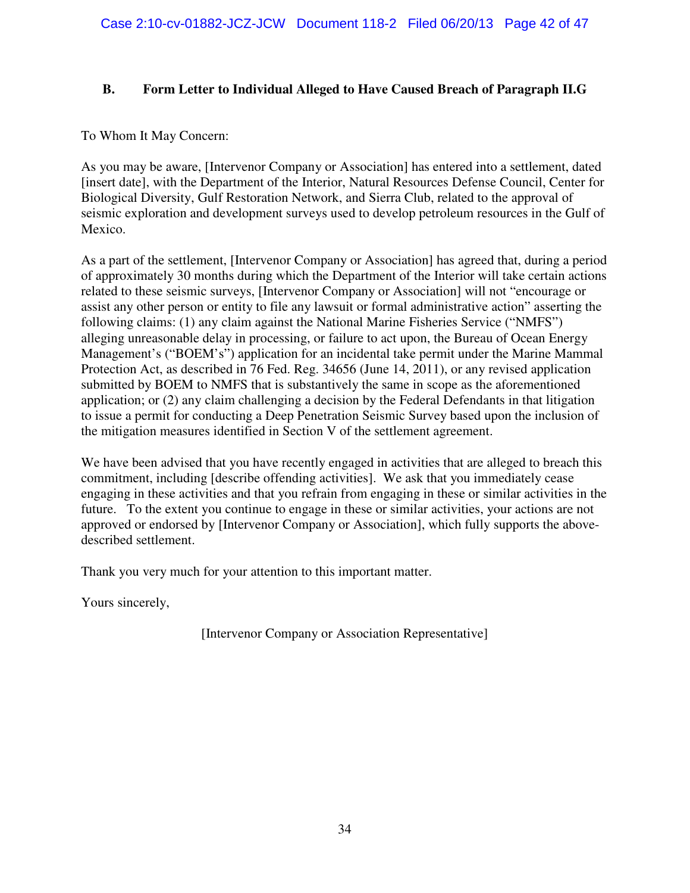# **B. Form Letter to Individual Alleged to Have Caused Breach of Paragraph II.G**

# To Whom It May Concern:

As you may be aware, [Intervenor Company or Association] has entered into a settlement, dated [insert date], with the Department of the Interior, Natural Resources Defense Council, Center for Biological Diversity, Gulf Restoration Network, and Sierra Club, related to the approval of seismic exploration and development surveys used to develop petroleum resources in the Gulf of Mexico.

As a part of the settlement, [Intervenor Company or Association] has agreed that, during a period of approximately 30 months during which the Department of the Interior will take certain actions related to these seismic surveys, [Intervenor Company or Association] will not "encourage or assist any other person or entity to file any lawsuit or formal administrative action" asserting the following claims: (1) any claim against the National Marine Fisheries Service ("NMFS") alleging unreasonable delay in processing, or failure to act upon, the Bureau of Ocean Energy Management's ("BOEM's") application for an incidental take permit under the Marine Mammal Protection Act, as described in 76 Fed. Reg. 34656 (June 14, 2011), or any revised application submitted by BOEM to NMFS that is substantively the same in scope as the aforementioned application; or (2) any claim challenging a decision by the Federal Defendants in that litigation to issue a permit for conducting a Deep Penetration Seismic Survey based upon the inclusion of the mitigation measures identified in Section V of the settlement agreement.

We have been advised that you have recently engaged in activities that are alleged to breach this commitment, including [describe offending activities]. We ask that you immediately cease engaging in these activities and that you refrain from engaging in these or similar activities in the future. To the extent you continue to engage in these or similar activities, your actions are not approved or endorsed by [Intervenor Company or Association], which fully supports the abovedescribed settlement.

Thank you very much for your attention to this important matter.

Yours sincerely,

[Intervenor Company or Association Representative]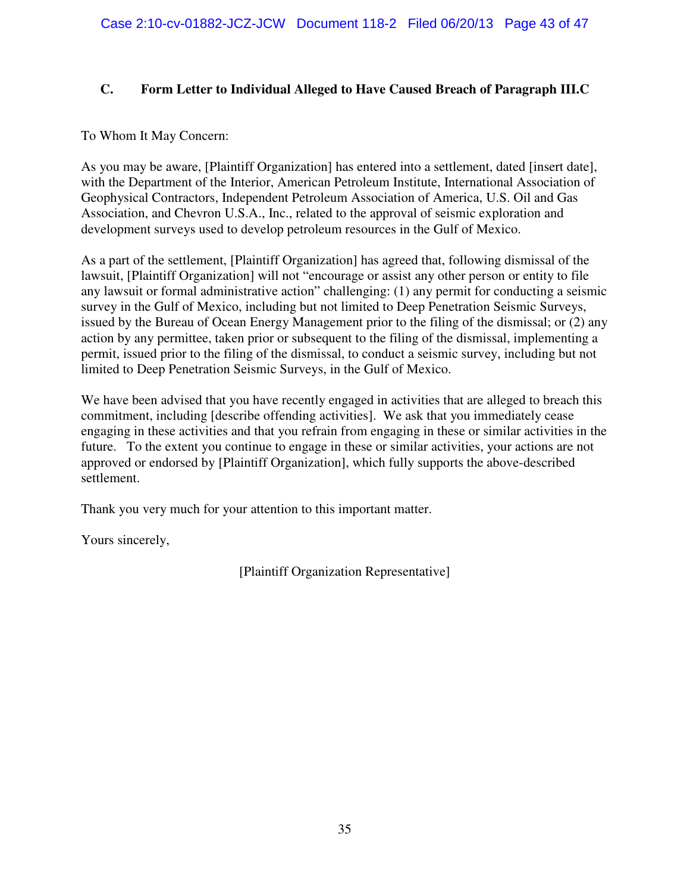# **C. Form Letter to Individual Alleged to Have Caused Breach of Paragraph III.C**

To Whom It May Concern:

As you may be aware, [Plaintiff Organization] has entered into a settlement, dated [insert date], with the Department of the Interior, American Petroleum Institute, International Association of Geophysical Contractors, Independent Petroleum Association of America, U.S. Oil and Gas Association, and Chevron U.S.A., Inc., related to the approval of seismic exploration and development surveys used to develop petroleum resources in the Gulf of Mexico.

As a part of the settlement, [Plaintiff Organization] has agreed that, following dismissal of the lawsuit, [Plaintiff Organization] will not "encourage or assist any other person or entity to file any lawsuit or formal administrative action" challenging: (1) any permit for conducting a seismic survey in the Gulf of Mexico, including but not limited to Deep Penetration Seismic Surveys, issued by the Bureau of Ocean Energy Management prior to the filing of the dismissal; or (2) any action by any permittee, taken prior or subsequent to the filing of the dismissal, implementing a permit, issued prior to the filing of the dismissal, to conduct a seismic survey, including but not limited to Deep Penetration Seismic Surveys, in the Gulf of Mexico.

We have been advised that you have recently engaged in activities that are alleged to breach this commitment, including [describe offending activities]. We ask that you immediately cease engaging in these activities and that you refrain from engaging in these or similar activities in the future. To the extent you continue to engage in these or similar activities, your actions are not approved or endorsed by [Plaintiff Organization], which fully supports the above-described settlement.

Thank you very much for your attention to this important matter.

Yours sincerely,

[Plaintiff Organization Representative]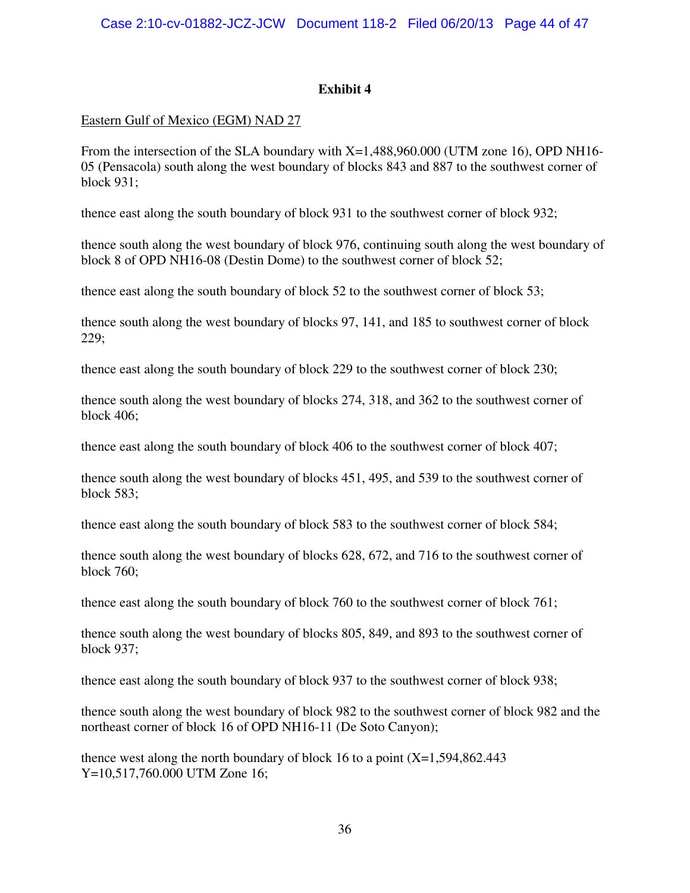# **Exhibit 4**

# Eastern Gulf of Mexico (EGM) NAD 27

From the intersection of the SLA boundary with  $X=1,488,960.000$  (UTM zone 16), OPD NH16-05 (Pensacola) south along the west boundary of blocks 843 and 887 to the southwest corner of block 931;

thence east along the south boundary of block 931 to the southwest corner of block 932;

thence south along the west boundary of block 976, continuing south along the west boundary of block 8 of OPD NH16-08 (Destin Dome) to the southwest corner of block 52;

thence east along the south boundary of block 52 to the southwest corner of block 53;

thence south along the west boundary of blocks 97, 141, and 185 to southwest corner of block 229;

thence east along the south boundary of block 229 to the southwest corner of block 230;

thence south along the west boundary of blocks 274, 318, and 362 to the southwest corner of block 406;

thence east along the south boundary of block 406 to the southwest corner of block 407;

thence south along the west boundary of blocks 451, 495, and 539 to the southwest corner of block 583;

thence east along the south boundary of block 583 to the southwest corner of block 584;

thence south along the west boundary of blocks 628, 672, and 716 to the southwest corner of block 760;

thence east along the south boundary of block 760 to the southwest corner of block 761;

thence south along the west boundary of blocks 805, 849, and 893 to the southwest corner of block 937;

thence east along the south boundary of block 937 to the southwest corner of block 938;

thence south along the west boundary of block 982 to the southwest corner of block 982 and the northeast corner of block 16 of OPD NH16-11 (De Soto Canyon);

thence west along the north boundary of block 16 to a point  $(X=1, 594, 862.443)$ Y=10,517,760.000 UTM Zone 16;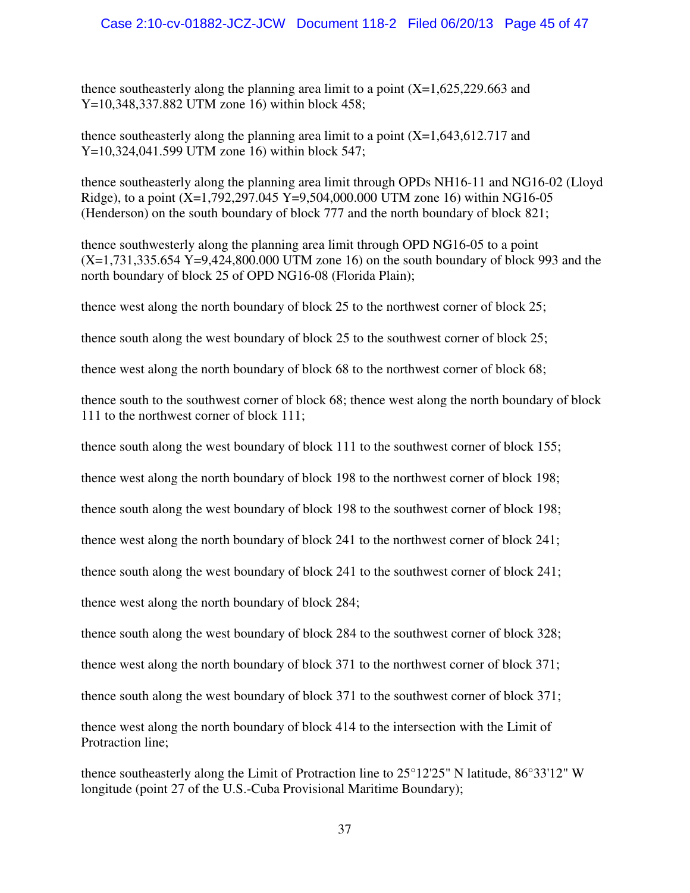thence southeasterly along the planning area limit to a point  $(X=1,625,229.663$  and Y=10,348,337.882 UTM zone 16) within block 458;

thence southeasterly along the planning area limit to a point  $(X=1,643,612.717)$  and Y=10,324,041.599 UTM zone 16) within block 547;

thence southeasterly along the planning area limit through OPDs NH16-11 and NG16-02 (Lloyd Ridge), to a point  $(X=1,792,297.045 \text{ Y} = 9,504,000.000 \text{ UTM zone } 16)$  within NG16-05 (Henderson) on the south boundary of block 777 and the north boundary of block 821;

thence southwesterly along the planning area limit through OPD NG16-05 to a point  $(X=1,731,335.654 \text{ Y}=9,424,800.000 \text{ UTM zone } 16)$  on the south boundary of block 993 and the north boundary of block 25 of OPD NG16-08 (Florida Plain);

thence west along the north boundary of block 25 to the northwest corner of block 25;

thence south along the west boundary of block 25 to the southwest corner of block 25;

thence west along the north boundary of block 68 to the northwest corner of block 68;

thence south to the southwest corner of block 68; thence west along the north boundary of block 111 to the northwest corner of block 111;

thence south along the west boundary of block 111 to the southwest corner of block 155;

thence west along the north boundary of block 198 to the northwest corner of block 198;

thence south along the west boundary of block 198 to the southwest corner of block 198;

thence west along the north boundary of block 241 to the northwest corner of block 241;

thence south along the west boundary of block 241 to the southwest corner of block 241;

thence west along the north boundary of block 284;

thence south along the west boundary of block 284 to the southwest corner of block 328;

thence west along the north boundary of block 371 to the northwest corner of block 371;

thence south along the west boundary of block 371 to the southwest corner of block 371;

thence west along the north boundary of block 414 to the intersection with the Limit of Protraction line;

thence southeasterly along the Limit of Protraction line to 25°12'25" N latitude, 86°33'12" W longitude (point 27 of the U.S.-Cuba Provisional Maritime Boundary);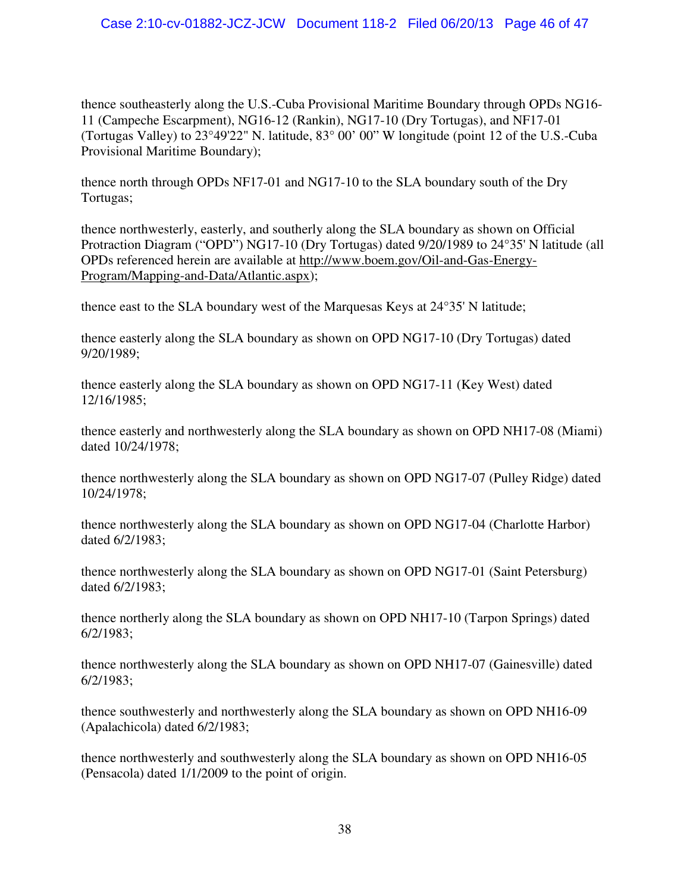thence southeasterly along the U.S.-Cuba Provisional Maritime Boundary through OPDs NG16- 11 (Campeche Escarpment), NG16-12 (Rankin), NG17-10 (Dry Tortugas), and NF17-01 (Tortugas Valley) to 23°49'22" N. latitude, 83° 00' 00" W longitude (point 12 of the U.S.-Cuba Provisional Maritime Boundary);

thence north through OPDs NF17-01 and NG17-10 to the SLA boundary south of the Dry Tortugas;

thence northwesterly, easterly, and southerly along the SLA boundary as shown on Official Protraction Diagram ("OPD") NG17-10 (Dry Tortugas) dated 9/20/1989 to 24°35' N latitude (all OPDs referenced herein are available at http://www.boem.gov/Oil-and-Gas-Energy-Program/Mapping-and-Data/Atlantic.aspx);

thence east to the SLA boundary west of the Marquesas Keys at 24°35' N latitude;

thence easterly along the SLA boundary as shown on OPD NG17-10 (Dry Tortugas) dated 9/20/1989;

thence easterly along the SLA boundary as shown on OPD NG17-11 (Key West) dated 12/16/1985;

thence easterly and northwesterly along the SLA boundary as shown on OPD NH17-08 (Miami) dated 10/24/1978;

thence northwesterly along the SLA boundary as shown on OPD NG17-07 (Pulley Ridge) dated 10/24/1978;

thence northwesterly along the SLA boundary as shown on OPD NG17-04 (Charlotte Harbor) dated 6/2/1983;

thence northwesterly along the SLA boundary as shown on OPD NG17-01 (Saint Petersburg) dated 6/2/1983;

thence northerly along the SLA boundary as shown on OPD NH17-10 (Tarpon Springs) dated 6/2/1983;

thence northwesterly along the SLA boundary as shown on OPD NH17-07 (Gainesville) dated 6/2/1983;

thence southwesterly and northwesterly along the SLA boundary as shown on OPD NH16-09 (Apalachicola) dated 6/2/1983;

thence northwesterly and southwesterly along the SLA boundary as shown on OPD NH16-05 (Pensacola) dated 1/1/2009 to the point of origin.